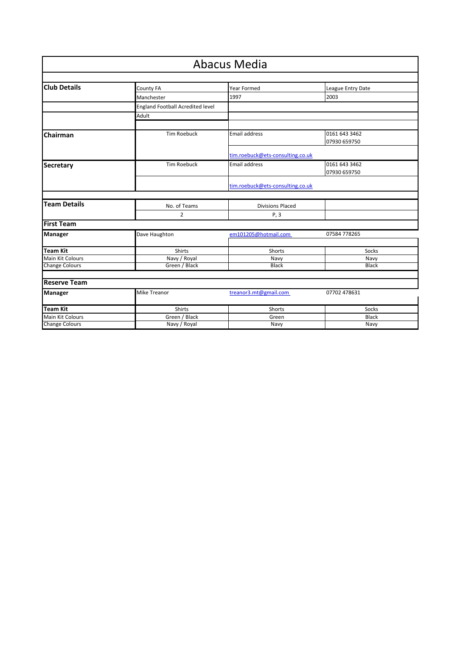| <b>Abacus Media</b>     |                                         |                                  |                               |  |
|-------------------------|-----------------------------------------|----------------------------------|-------------------------------|--|
| <b>Club Details</b>     | County FA                               | <b>Year Formed</b>               | League Entry Date             |  |
|                         | Manchester                              | 1997                             | 2003                          |  |
|                         | <b>England Football Acredited level</b> |                                  |                               |  |
|                         | Adult                                   |                                  |                               |  |
| Chairman                | <b>Tim Roebuck</b>                      | Email address                    | 0161 643 3462<br>07930 659750 |  |
|                         |                                         | tim.roebuck@ets-consulting.co.uk |                               |  |
| <b>Secretary</b>        | <b>Tim Roebuck</b>                      | Email address                    | 0161 643 3462<br>07930 659750 |  |
|                         |                                         | tim.roebuck@ets-consulting.co.uk |                               |  |
| <b>Team Details</b>     |                                         |                                  |                               |  |
|                         | No. of Teams<br>2                       | <b>Divisions Placed</b><br>P, 3  |                               |  |
| <b>First Team</b>       |                                         |                                  |                               |  |
| <b>Manager</b>          | Dave Haughton                           | em101205@hotmail.com             | 07584 778265                  |  |
| <b>Team Kit</b>         | Shirts                                  | Shorts                           | Socks                         |  |
| Main Kit Colours        | Navy / Royal                            | Navy                             | Navy                          |  |
| <b>Change Colours</b>   | Green / Black                           | <b>Black</b>                     | <b>Black</b>                  |  |
| <b>Reserve Team</b>     |                                         |                                  |                               |  |
| <b>Manager</b>          | Mike Treanor                            | treanor3.mt@gmail.com            | 07702 478631                  |  |
| <b>Team Kit</b>         | Shirts                                  | Shorts                           | Socks                         |  |
| <b>Main Kit Colours</b> | Green / Black                           | Green                            | <b>Black</b>                  |  |
| <b>Change Colours</b>   | Navy / Royal                            | Navy                             | Navy                          |  |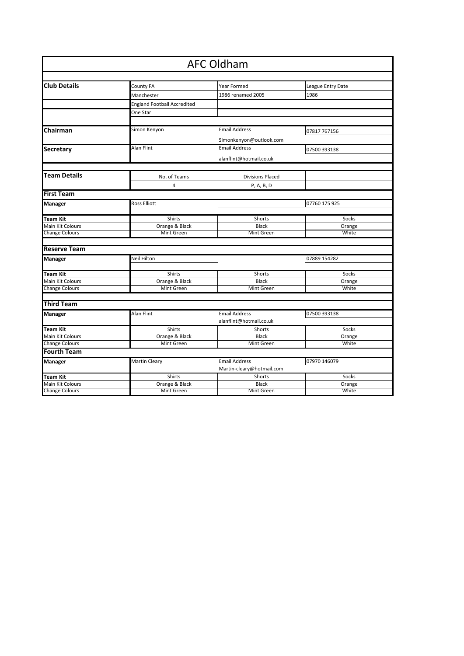|                       |                                    | <b>AFC Oldham</b>                               |                   |
|-----------------------|------------------------------------|-------------------------------------------------|-------------------|
|                       |                                    |                                                 |                   |
| <b>Club Details</b>   | County FA                          | Year Formed                                     | League Entry Date |
|                       | Manchester                         | 1986 renamed 2005                               | 1986              |
|                       | <b>England Football Accredited</b> |                                                 |                   |
|                       | One Star                           |                                                 |                   |
|                       |                                    |                                                 |                   |
| Chairman              | Simon Kenyon                       | <b>Email Address</b>                            | 07817 767156      |
|                       |                                    |                                                 |                   |
|                       | Alan Flint                         | Simonkenyon@outlook.com<br><b>Email Address</b> |                   |
| Secretary             |                                    |                                                 | 07500 393138      |
|                       |                                    | alanflint@hotmail.co.uk                         |                   |
| <b>Team Details</b>   |                                    |                                                 |                   |
|                       | No. of Teams                       | <b>Divisions Placed</b>                         |                   |
|                       | 4                                  | P, A, B, D                                      |                   |
| <b>First Team</b>     |                                    |                                                 |                   |
| Manager               | <b>Ross Elliott</b>                |                                                 | 07760 175 925     |
| Team Kit              | Shirts                             | Shorts                                          | Socks             |
| Main Kit Colours      | Orange & Black                     | <b>Black</b>                                    | Orange            |
| <b>Change Colours</b> | Mint Green                         | Mint Green                                      | White             |
|                       |                                    |                                                 |                   |
| <b>Reserve Team</b>   |                                    |                                                 |                   |
| Manager               | Neil Hilton                        |                                                 | 07889 154282      |
|                       |                                    |                                                 |                   |
| Team Kit              | Shirts                             | Shorts                                          | Socks             |
| Main Kit Colours      | Orange & Black                     | <b>Black</b>                                    | Orange            |
| <b>Change Colours</b> | Mint Green                         | Mint Green                                      | White             |
| <b>Third Team</b>     |                                    |                                                 |                   |
|                       |                                    |                                                 |                   |
| Manager               | Alan Flint                         | <b>Email Address</b><br>alanflint@hotmail.co.uk | 07500 393138      |
| Team Kit              | <b>Shirts</b>                      | Shorts                                          | Socks             |
| Main Kit Colours      | Orange & Black                     | <b>Black</b>                                    | Orange            |
| <b>Change Colours</b> | Mint Green                         | Mint Green                                      | White             |
| <b>Fourth Team</b>    |                                    |                                                 |                   |
| Manager               | Martin Cleary                      | <b>Email Address</b>                            | 07970 146079      |
|                       |                                    | Martin-cleary@hotmail.com                       |                   |
| <b>Team Kit</b>       | Shirts                             | Shorts                                          | Socks             |
| Main Kit Colours      | Orange & Black                     | <b>Black</b>                                    | Orange            |
| <b>Change Colours</b> | Mint Green                         | Mint Green                                      | White             |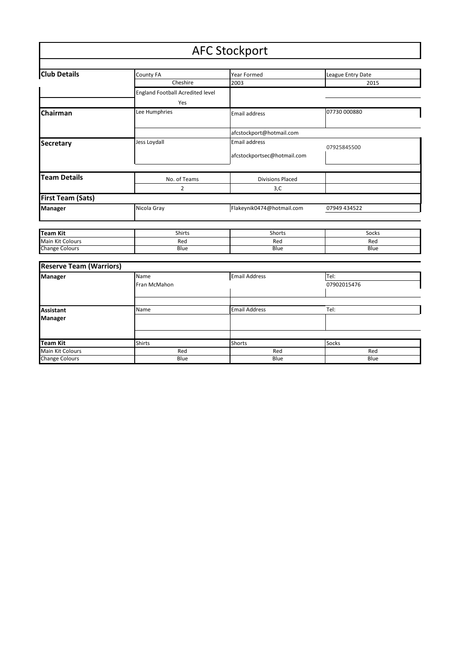#### **Club Details** County FA The Mear Formed League Entry Date<br>
Cheshire 2003 2003 2015 Cheshire 2003 2015 England Football Acredited level Yes **Chairman Lee Humphries** Email address **197730 000880** [afcstockport@hotmail.com](mailto:afcstockport@hotmail.com) **Secretary Jess Loydall Jess Loydall Email address** 07925845500 afcstockportsec@hotmail.com **Team Details No. of Teams Divisions Placed** 2  $3,C$ **First Team (Sats) Manager Nicola Gray [Flakeynik0474@hotmail.com](mailto:Flakeynik0474@hotmail.com)** 07949 434522 **Team Kit** Shirts Shirts Shorts Show Show Show Socks Main Kit Colours Red Red Red Change Colours **Reserve Team (Warriors) Manager** Name Email Address Tel: Fran McMahon **Assistant Name Email Address Tel:** Tel: **Manager** AFC Stockport

**Team Kit** Shirts Shirts Shorts Shorts Socks

Change Colours

Main Kit Colours Red Red Red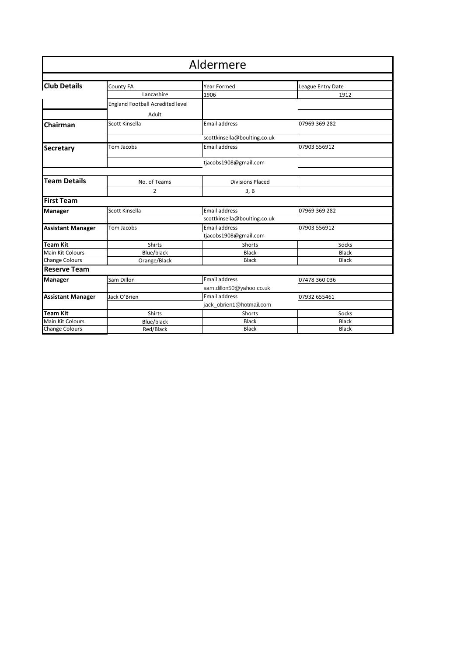| Aldermere      |                                                      |                          |  |  |
|----------------|------------------------------------------------------|--------------------------|--|--|
|                | Year Formed                                          | League Entry Date        |  |  |
| Lancashire     | 1906                                                 | 1912                     |  |  |
|                |                                                      |                          |  |  |
| Adult          |                                                      |                          |  |  |
| Scott Kinsella | <b>Email address</b>                                 | 07969 369 282            |  |  |
|                | scottkinsella@boulting.co.uk                         |                          |  |  |
| Tom Jacobs     | <b>Email address</b>                                 | 07903 556912             |  |  |
|                | tjacobs1908@gmail.com                                |                          |  |  |
| No. of Teams   | <b>Divisions Placed</b>                              |                          |  |  |
| 2              | 3, B                                                 |                          |  |  |
|                |                                                      |                          |  |  |
| Scott Kinsella | <b>Email address</b>                                 | 07969 369 282            |  |  |
|                | scottkinsella@boulting.co.uk                         |                          |  |  |
| Tom Jacobs     | <b>Email address</b>                                 | 07903 556912             |  |  |
|                | tjacobs1908@gmail.com                                |                          |  |  |
| <b>Shirts</b>  | Shorts                                               | Socks                    |  |  |
| Blue/black     | <b>Black</b>                                         | <b>Black</b>             |  |  |
| Orange/Black   | <b>Black</b>                                         | <b>Black</b>             |  |  |
|                |                                                      |                          |  |  |
| Sam Dillon     | Email address                                        | 07478 360 036            |  |  |
| Jack O'Brien   | Email address                                        | 07932 655461             |  |  |
|                | jack_obrien1@hotmail.com                             |                          |  |  |
| Shirts         | Shorts                                               | Socks                    |  |  |
| Blue/black     | <b>Black</b>                                         | <b>Black</b>             |  |  |
| Red/Black      | <b>Black</b>                                         | <b>Black</b>             |  |  |
|                | County FA<br><b>England Football Acredited level</b> | sam.dillon50@yahoo.co.uk |  |  |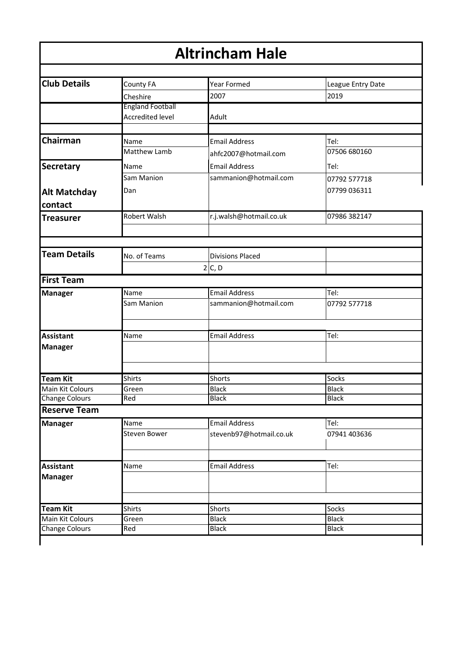| <b>Altrincham Hale</b>                    |                                                    |                              |                              |  |
|-------------------------------------------|----------------------------------------------------|------------------------------|------------------------------|--|
|                                           |                                                    |                              |                              |  |
| <b>Club Details</b>                       | County FA                                          | <b>Year Formed</b>           | League Entry Date            |  |
|                                           | Cheshire                                           | 2007                         | 2019                         |  |
|                                           | <b>England Football</b><br><b>Accredited level</b> | Adult                        |                              |  |
| Chairman                                  |                                                    |                              |                              |  |
|                                           | Name<br>Matthew Lamb                               | <b>Email Address</b>         | Tel:<br>07506 680160         |  |
|                                           |                                                    | ahfc2007@hotmail.com         |                              |  |
| <b>Secretary</b>                          | Name                                               | <b>Email Address</b>         | Tel:                         |  |
|                                           | Sam Manion                                         | sammanion@hotmail.com        | 07792 577718                 |  |
| <b>Alt Matchday</b>                       | Dan                                                |                              | 07799 036311                 |  |
| contact                                   |                                                    |                              |                              |  |
| <b>Treasurer</b>                          | Robert Walsh                                       | r.j.walsh@hotmail.co.uk      | 07986 382147                 |  |
|                                           |                                                    |                              |                              |  |
| <b>Team Details</b>                       | No. of Teams                                       | <b>Divisions Placed</b>      |                              |  |
|                                           |                                                    | 2 C, D                       |                              |  |
| <b>First Team</b>                         |                                                    |                              |                              |  |
| <b>Manager</b>                            | Name                                               | <b>Email Address</b>         | Tel:                         |  |
|                                           | Sam Manion                                         | sammanion@hotmail.com        | 07792 577718                 |  |
| <b>Assistant</b><br><b>Manager</b>        | Name                                               | <b>Email Address</b>         | Tel:                         |  |
|                                           |                                                    |                              |                              |  |
| <b>Team Kit</b>                           | <b>Shirts</b>                                      | Shorts                       | Socks                        |  |
| Main Kit Colours                          | Green                                              | <b>Black</b>                 | <b>Black</b>                 |  |
| <b>Change Colours</b>                     | Red                                                | <b>Black</b>                 | <b>Black</b>                 |  |
| <b>Reserve Team</b>                       |                                                    |                              |                              |  |
| <b>Manager</b>                            | Name                                               | <b>Email Address</b>         | Tel:                         |  |
|                                           | <b>Steven Bower</b>                                | stevenb97@hotmail.co.uk      | 07941 403636                 |  |
|                                           |                                                    |                              |                              |  |
| <b>Assistant</b>                          | Name                                               | <b>Email Address</b>         | Tel:                         |  |
| <b>Manager</b>                            |                                                    |                              |                              |  |
|                                           |                                                    |                              |                              |  |
| <b>Team Kit</b>                           | Shirts                                             | Shorts                       | Socks                        |  |
| Main Kit Colours<br><b>Change Colours</b> | Green<br>Red                                       | <b>Black</b><br><b>Black</b> | <b>Black</b><br><b>Black</b> |  |
|                                           |                                                    |                              |                              |  |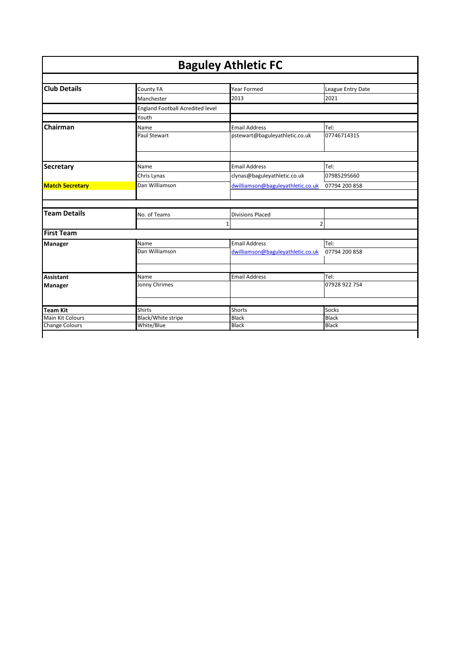| <b>Baguley Athletic FC</b> |                                  |                                   |                   |  |
|----------------------------|----------------------------------|-----------------------------------|-------------------|--|
| <b>Club Details</b>        |                                  | Year Formed                       |                   |  |
|                            | County FA                        |                                   | League Entry Date |  |
|                            | Manchester                       | 2013                              | 2021              |  |
|                            | England Football Acredited level |                                   |                   |  |
|                            | Youth                            |                                   |                   |  |
| Chairman                   | Name                             | <b>Email Address</b>              | Tel:              |  |
|                            | Paul Stewart                     | pstewart@baguleyathletic.co.uk    | 07746714315       |  |
|                            |                                  |                                   |                   |  |
| <b>Secretary</b>           | Name                             | <b>Email Address</b>              | Tel:              |  |
|                            | Chris Lynas                      | clynas@baguleyathletic.co.uk      | 07985295660       |  |
| <b>Match Secretary</b>     | Dan Williamson                   | dwilliamson@baguleyathletic.co.uk | 07794 200 858     |  |
| <b>Team Details</b>        | No. of Teams                     | <b>Divisions Placed</b>           |                   |  |
|                            |                                  | $\overline{2}$<br>1               |                   |  |
| <b>First Team</b>          |                                  |                                   |                   |  |
| <b>Manager</b>             | Name                             | <b>Email Address</b>              | Tel:              |  |
|                            | Dan Williamson                   | dwilliamson@baguleyathletic.co.uk | 07794 200 858     |  |
| <b>Assistant</b>           | Name                             | <b>Email Address</b>              | Tel:              |  |
|                            | Jonny Chrimes                    |                                   | 07928 922 754     |  |
| <b>Manager</b>             |                                  |                                   |                   |  |
| <b>Team Kit</b>            | <b>Shirts</b>                    | Shorts                            | <b>Socks</b>      |  |
| Main Kit Colours           | Black/White stripe               | <b>Black</b>                      | <b>Black</b>      |  |
| <b>Change Colours</b>      | White/Blue                       | <b>Black</b>                      | <b>Black</b>      |  |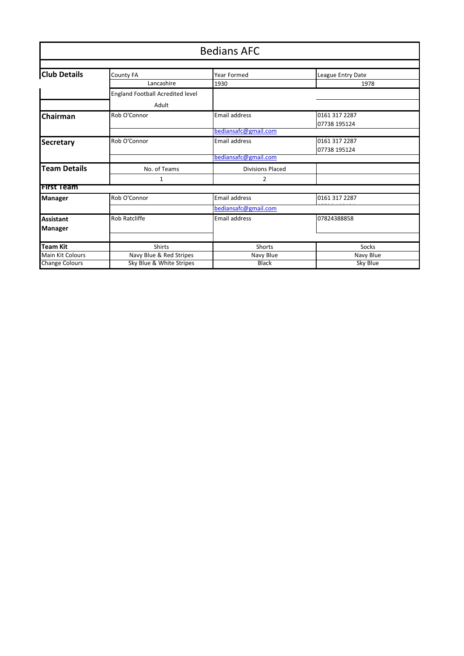|                         | <b>Bedians AFC</b>               |                         |                   |  |
|-------------------------|----------------------------------|-------------------------|-------------------|--|
|                         |                                  |                         |                   |  |
| <b>Club Details</b>     | County FA                        | Year Formed             | League Entry Date |  |
|                         | Lancashire                       | 1930                    | 1978              |  |
|                         | England Football Acredited level |                         |                   |  |
|                         | Adult                            |                         |                   |  |
| Chairman                | Rob O'Connor                     | <b>Email address</b>    | 0161 317 2287     |  |
|                         |                                  |                         | 07738 195124      |  |
|                         |                                  | bediansafc@gmail.com    |                   |  |
| <b>Secretary</b>        | Rob O'Connor                     | <b>Email address</b>    | 0161 317 2287     |  |
|                         |                                  |                         | 07738 195124      |  |
|                         |                                  | bediansafc@gmail.com    |                   |  |
| <b>Team Details</b>     | No. of Teams                     | <b>Divisions Placed</b> |                   |  |
|                         | 1                                | $\overline{2}$          |                   |  |
| <b>First Team</b>       |                                  |                         |                   |  |
| <b>Manager</b>          | Rob O'Connor                     | <b>Email address</b>    | 0161 317 2287     |  |
|                         |                                  | bediansafc@gmail.com    |                   |  |
| <b>Assistant</b>        | Rob Ratcliffe                    | <b>Email address</b>    | 07824388858       |  |
| <b>Manager</b>          |                                  |                         |                   |  |
|                         |                                  |                         |                   |  |
| <b>Team Kit</b>         | Shirts                           | Shorts                  | Socks             |  |
| <b>Main Kit Colours</b> | Navy Blue & Red Stripes          | Navy Blue               | Navy Blue         |  |
| <b>Change Colours</b>   | Sky Blue & White Stripes         | <b>Black</b>            | Sky Blue          |  |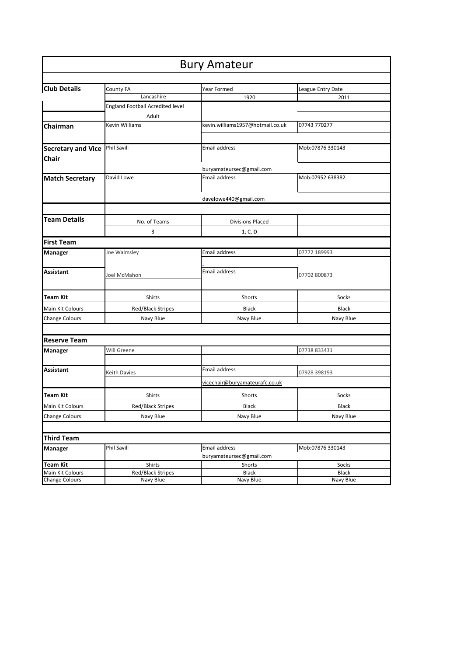| <b>Bury Amateur</b>       |                                    |                                           |                       |
|---------------------------|------------------------------------|-------------------------------------------|-----------------------|
|                           |                                    |                                           |                       |
| <b>Club Details</b>       | County FA                          | Year Formed                               | League Entry Date     |
|                           | Lancashire                         | 1920                                      | 2011                  |
|                           | England Football Acredited level   |                                           |                       |
|                           | Adult                              |                                           |                       |
| Chairman                  | Kevin Williams                     | kevin.williams1957@hotmail.co.uk          | 07743 770277          |
|                           |                                    |                                           |                       |
| <b>Secretary and Vice</b> | Phil Savill                        | Email address                             | Mob:07876 330143      |
| Chair                     |                                    |                                           |                       |
|                           |                                    |                                           |                       |
|                           | David Lowe                         | buryamateursec@gmail.com<br>Email address | Mob:07952 638382      |
| <b>Match Secretary</b>    |                                    |                                           |                       |
|                           |                                    |                                           |                       |
|                           |                                    | davelowe440@gmail.com                     |                       |
|                           |                                    |                                           |                       |
| <b>Team Details</b>       | No. of Teams                       | <b>Divisions Placed</b>                   |                       |
|                           | 3                                  | 1, C, D                                   |                       |
| <b>First Team</b>         |                                    |                                           |                       |
| Manager                   | Joe Walmsley                       | Email address                             | 07772 189993          |
|                           |                                    |                                           |                       |
| Assistant                 |                                    | Email address                             |                       |
|                           | Joel McMahon                       |                                           | 07702 800873          |
|                           |                                    |                                           |                       |
| Team Kit                  | Shirts                             | Shorts                                    | Socks                 |
| Main Kit Colours          | Red/Black Stripes                  | <b>Black</b>                              | <b>Black</b>          |
| Change Colours            | Navy Blue                          | Navy Blue                                 | Navy Blue             |
|                           |                                    |                                           |                       |
| <b>Reserve Team</b>       |                                    |                                           |                       |
|                           | Will Greene                        |                                           |                       |
| Manager                   |                                    |                                           | 07738 833431          |
| Assistant                 |                                    | Email address                             |                       |
|                           | Keith Davies                       |                                           | 07928 398193          |
|                           |                                    | vicechair@buryamateurafc.co.uk            |                       |
| Team Kit                  | Shirts                             | Shorts                                    | Socks                 |
| Main Kit Colours          | Red/Black Stripes                  | Black                                     | Black                 |
| <b>Change Colours</b>     | Navy Blue                          | Navy Blue                                 | Navy Blue             |
|                           |                                    |                                           |                       |
|                           |                                    |                                           |                       |
| <b>Third Team</b>         |                                    |                                           |                       |
| Manager                   | Phil Savill                        | Email address                             | Mob:07876 330143      |
| <b>Team Kit</b>           |                                    | buryamateursec@gmail.com                  |                       |
| Main Kit Colours          | Shirts<br><b>Red/Black Stripes</b> | Shorts<br><b>Black</b>                    | Socks<br><b>Black</b> |
| Change Colours            | Navy Blue                          | Navy Blue                                 | Navy Blue             |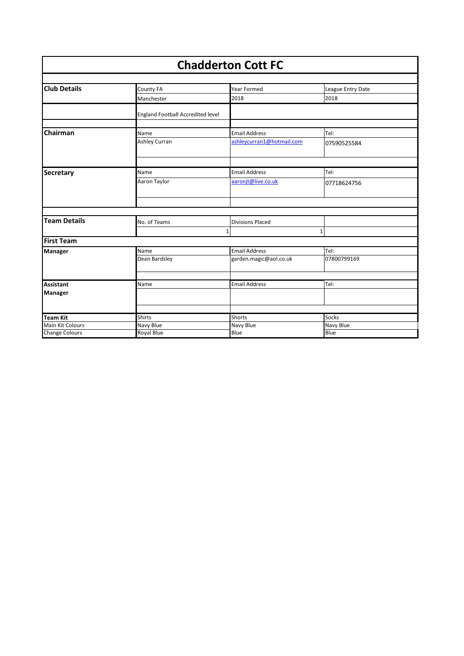| <b>Chadderton Cott FC</b>           |                                   |                           |                           |  |
|-------------------------------------|-----------------------------------|---------------------------|---------------------------|--|
| <b>Club Details</b>                 | County FA                         | Year Formed               | League Entry Date         |  |
|                                     | Manchester                        | 2018                      | 2018                      |  |
|                                     | England Football Accredited level |                           |                           |  |
| Chairman                            | Name                              | <b>Email Address</b>      | Tel:                      |  |
|                                     | Ashley Curran                     | ashleycurran1@hotmail.com | 07590525584               |  |
| <b>Secretary</b>                    | Name                              | <b>Email Address</b>      | Tel:                      |  |
|                                     | Aaron Taylor                      | aaronjt@live.co.uk        | 07718624756               |  |
|                                     |                                   |                           |                           |  |
| <b>Team Details</b>                 | No. of Teams                      | <b>Divisions Placed</b>   |                           |  |
| <b>First Team</b>                   |                                   | $\mathbf{1}$              | $\mathbf 1$               |  |
|                                     | Name                              | <b>Email Address</b>      | TeI:                      |  |
| Manager                             | Dean Bardsley                     | garden.magic@aol.co.uk    | 07800799169               |  |
|                                     |                                   |                           |                           |  |
| <b>Assistant</b><br><b>Manager</b>  | Name                              | <b>Email Address</b>      | Tel:                      |  |
|                                     |                                   |                           |                           |  |
| <b>Team Kit</b><br>Main Kit Colours | <b>Shirts</b><br>Navy Blue        | Shorts<br>Navy Blue       | <b>Socks</b><br>Navy Blue |  |
| <b>Change Colours</b>               | Royal Blue                        | Blue                      | Blue                      |  |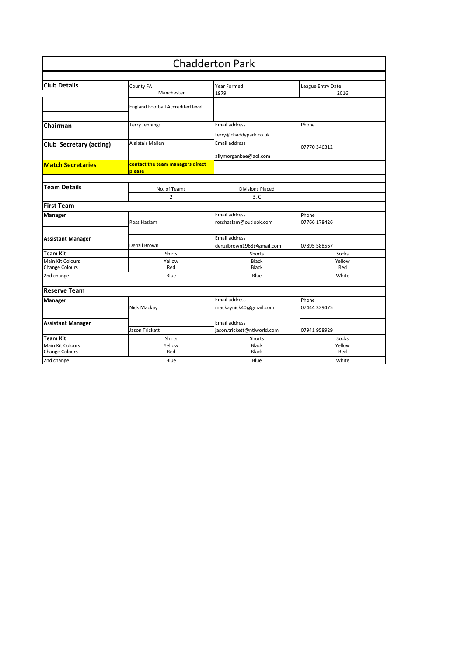|                          |                                            | <b>Chadderton Park</b>      |                   |
|--------------------------|--------------------------------------------|-----------------------------|-------------------|
|                          |                                            |                             |                   |
| <b>Club Details</b>      | County FA                                  | Year Formed                 | League Entry Date |
|                          | Manchester                                 | 1979                        | 2016              |
|                          | <b>England Football Accredited level</b>   |                             |                   |
| Chairman                 | Terry Jennings                             | <b>Email address</b>        | Phone             |
|                          |                                            | terry@chaddypark.co.uk      |                   |
| Club Secretary (acting)  | Alaistair Mallen                           | Email address               |                   |
|                          |                                            |                             | 07770 346312      |
|                          |                                            | allymorganbee@aol.com       |                   |
| <b>Match Secretaries</b> | contact the team managers direct<br>please |                             |                   |
|                          |                                            |                             |                   |
| <b>Team Details</b>      | No. of Teams                               | <b>Divisions Placed</b>     |                   |
|                          | $\overline{2}$                             | 3, C                        |                   |
| <b>First Team</b>        |                                            |                             |                   |
| <b>Manager</b>           |                                            | Email address               | Phone             |
|                          | Ross Haslam                                | rosshaslam@outlook.com      | 07766 178426      |
|                          |                                            | Email address               |                   |
| <b>Assistant Manager</b> | Denzil Brown                               | denzilbrown1968@gmail.com   | 07895 588567      |
| Team Kit                 | <b>Shirts</b>                              | Shorts                      | Socks             |
| Main Kit Colours         | Yellow                                     | <b>Black</b>                | Yellow            |
| <b>Change Colours</b>    | Red                                        | <b>Black</b>                | Red               |
| 2nd change               | Blue                                       | Blue                        | White             |
| <b>Reserve Team</b>      |                                            |                             |                   |
| Manager                  |                                            | Email address               | Phone             |
|                          | Nick Mackay                                | mackaynick40@gmail.com      | 07444 329475      |
| <b>Assistant Manager</b> |                                            | Email address               |                   |
|                          | Jason Trickett                             | jason.trickett@ntlworld.com | 07941 958929      |
| <b>Team Kit</b>          | Shirts                                     | Shorts                      | Socks             |
| Main Kit Colours         | Yellow                                     | Black                       | Yellow            |
| <b>Change Colours</b>    | Red                                        | <b>Black</b>                | Red               |
| 2nd change               | Blue                                       | Blue                        | White             |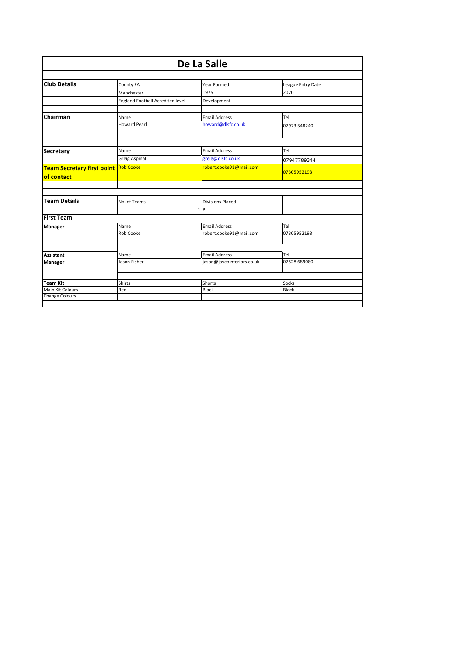|                                             | De La Salle                      |                            |                   |  |  |
|---------------------------------------------|----------------------------------|----------------------------|-------------------|--|--|
| <b>Club Details</b>                         | County FA                        | Year Formed                | League Entry Date |  |  |
|                                             | Manchester                       | 1975                       | 2020              |  |  |
|                                             | England Football Acredited level | Development                |                   |  |  |
| Chairman                                    | Name                             | <b>Email Address</b>       | Tel:              |  |  |
|                                             | <b>Howard Pearl</b>              | howard@dlsfc.co.uk         | 07973 548240      |  |  |
|                                             |                                  |                            |                   |  |  |
| Secretary                                   | Name                             | <b>Email Address</b>       | Tel:              |  |  |
|                                             | <b>Greig Aspinall</b>            | greig@dlsfc.co.uk          | 07947789344       |  |  |
| <b>Team Secretary first point</b> Rob Cooke |                                  | robert.cooke91@mail.com    | 07305952193       |  |  |
| of contact                                  |                                  |                            |                   |  |  |
|                                             |                                  |                            |                   |  |  |
| <b>Team Details</b>                         | No. of Teams                     | <b>Divisions Placed</b>    |                   |  |  |
|                                             |                                  | $1$  P                     |                   |  |  |
| <b>First Team</b>                           |                                  |                            |                   |  |  |
| Manager                                     | Name                             | <b>Email Address</b>       | Tel:              |  |  |
|                                             | Rob Cooke                        | robert.cooke91@mail.com    | 07305952193       |  |  |
| Assistant                                   | Name                             | <b>Email Address</b>       | Tel:              |  |  |
|                                             | Jason Fisher                     | jason@jaycointeriors.co.uk | 07528 689080      |  |  |
| Manager                                     |                                  |                            |                   |  |  |
| <b>Team Kit</b>                             | <b>Shirts</b>                    | Shorts                     | Socks             |  |  |
| Main Kit Colours                            | Red                              | Black                      | Black             |  |  |
| <b>Change Colours</b>                       |                                  |                            |                   |  |  |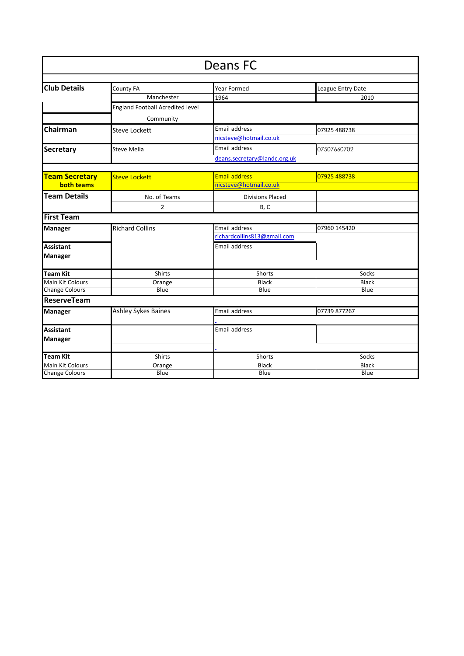| Deans FC                |                                         |                              |                   |  |  |  |
|-------------------------|-----------------------------------------|------------------------------|-------------------|--|--|--|
|                         |                                         |                              |                   |  |  |  |
| <b>Club Details</b>     | County FA                               | Year Formed                  | League Entry Date |  |  |  |
|                         | Manchester                              | 1964                         | 2010              |  |  |  |
|                         | <b>England Football Acredited level</b> |                              |                   |  |  |  |
|                         | Community                               |                              |                   |  |  |  |
| Chairman                | <b>Steve Lockett</b>                    | <b>Email address</b>         | 07925 488738      |  |  |  |
|                         |                                         | nicsteve@hotmail.co.uk       |                   |  |  |  |
| <b>Secretary</b>        | <b>Steve Melia</b>                      | <b>Email address</b>         | 07507660702       |  |  |  |
|                         |                                         | deans.secretary@landc.org.uk |                   |  |  |  |
|                         |                                         |                              |                   |  |  |  |
| <b>Team Secretary</b>   | <b>Steve Lockett</b>                    | <b>Email address</b>         | 07925 488738      |  |  |  |
| <b>both teams</b>       |                                         | nicsteve@hotmail.co.uk       |                   |  |  |  |
| <b>Team Details</b>     | No. of Teams                            | <b>Divisions Placed</b>      |                   |  |  |  |
|                         | $\overline{2}$                          | B, C                         |                   |  |  |  |
| <b>First Team</b>       |                                         |                              |                   |  |  |  |
| <b>Manager</b>          | <b>Richard Collins</b>                  | <b>Email address</b>         | 07960 145420      |  |  |  |
|                         |                                         | richardcollins813@gmail.com  |                   |  |  |  |
| <b>Assistant</b>        |                                         | <b>Email address</b>         |                   |  |  |  |
| <b>Manager</b>          |                                         |                              |                   |  |  |  |
|                         |                                         |                              |                   |  |  |  |
| <b>Team Kit</b>         | Shirts                                  | Shorts                       | Socks             |  |  |  |
| Main Kit Colours        | Orange                                  | <b>Black</b>                 | <b>Black</b>      |  |  |  |
| <b>Change Colours</b>   | Blue                                    | Blue                         | Blue              |  |  |  |
| <b>ReserveTeam</b>      |                                         |                              |                   |  |  |  |
| <b>Manager</b>          | <b>Ashley Sykes Baines</b>              | <b>Email address</b>         | 07739 877267      |  |  |  |
|                         |                                         |                              |                   |  |  |  |
| <b>Assistant</b>        |                                         | <b>Email address</b>         |                   |  |  |  |
| Manager                 |                                         |                              |                   |  |  |  |
|                         |                                         |                              |                   |  |  |  |
| <b>Team Kit</b>         | Shirts                                  | Shorts                       | Socks             |  |  |  |
| <b>Main Kit Colours</b> | Orange                                  | Black                        | <b>Black</b>      |  |  |  |
| <b>Change Colours</b>   | Blue                                    | Blue                         | Blue              |  |  |  |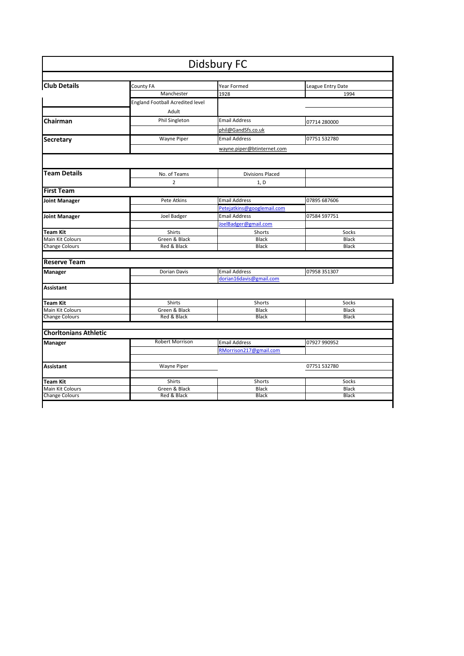|                              |                                         | <b>Didsbury FC</b>         |                   |
|------------------------------|-----------------------------------------|----------------------------|-------------------|
|                              |                                         |                            |                   |
| <b>Club Details</b>          | County FA                               | Year Formed                | League Entry Date |
|                              | Manchester                              | 1928                       | 1994              |
|                              | <b>England Football Acredited level</b> |                            |                   |
|                              | Adult                                   |                            |                   |
| Chairman                     | Phil Singleton                          | <b>Email Address</b>       | 07714 280000      |
|                              |                                         | phil@GandSfs.co.uk         |                   |
| <b>Secretary</b>             | <b>Wayne Piper</b>                      | <b>Email Address</b>       | 07751 532780      |
|                              |                                         | wayne.piper@btinternet.com |                   |
|                              |                                         |                            |                   |
| <b>Team Details</b>          | No. of Teams                            | <b>Divisions Placed</b>    |                   |
|                              | 2                                       | 1, D                       |                   |
| <b>First Team</b>            |                                         |                            |                   |
| <b>Joint Manager</b>         | Pete Atkins                             | <b>Email Address</b>       | 07895 687606      |
|                              |                                         | Petejatkins@googlemail.com |                   |
| <b>Joint Manager</b>         | Joel Badger                             | <b>Email Address</b>       | 07584 597751      |
|                              |                                         | JoelBadger@gmail.com       |                   |
| <b>Team Kit</b>              | Shirts                                  | Shorts                     | Socks             |
| Main Kit Colours             | Green & Black                           | <b>Black</b>               | <b>Black</b>      |
| <b>Change Colours</b>        | Red & Black                             | <b>Black</b>               | <b>Black</b>      |
| <b>Reserve Team</b>          |                                         |                            |                   |
| <b>Manager</b>               | Dorian Davis                            | <b>Email Address</b>       | 07958 351307      |
|                              |                                         | dorian16davis@gmail.com    |                   |
| <b>Assistant</b>             |                                         |                            |                   |
| <b>Team Kit</b>              | Shirts                                  | Shorts                     | Socks             |
| Main Kit Colours             | Green & Black                           | <b>Black</b>               | Black             |
| <b>Change Colours</b>        | Red & Black                             | <b>Black</b>               | <b>Black</b>      |
| <b>Chorltonians Athletic</b> |                                         |                            |                   |
| <b>Manager</b>               | Robert Morrison                         | <b>Email Address</b>       | 07927 990952      |
|                              |                                         | RMorrison217@gmail.com     |                   |
| <b>Assistant</b>             | <b>Wayne Piper</b>                      |                            | 07751 532780      |
|                              |                                         |                            |                   |
| <b>Team Kit</b>              | Shirts                                  | Shorts                     | Socks             |
| Main Kit Colours             | Green & Black                           | <b>Black</b>               | <b>Black</b>      |
| <b>Change Colours</b>        | Red & Black                             | <b>Black</b>               | <b>Black</b>      |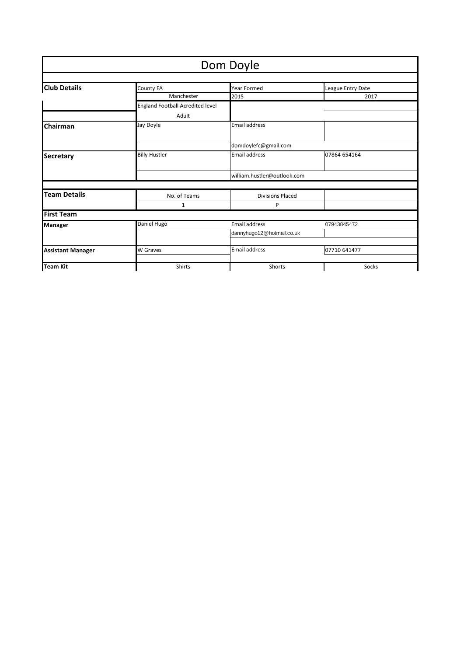|                          |                                  | Dom Doyle                   |                   |
|--------------------------|----------------------------------|-----------------------------|-------------------|
|                          |                                  |                             |                   |
| <b>Club Details</b>      | County FA                        | <b>Year Formed</b>          | League Entry Date |
|                          | Manchester                       | 2015                        | 2017              |
|                          | England Football Acredited level |                             |                   |
|                          | Adult                            |                             |                   |
| Chairman                 | Jay Doyle                        | <b>Email address</b>        |                   |
|                          |                                  | domdoylefc@gmail.com        |                   |
| <b>Secretary</b>         | <b>Billy Hustler</b>             | <b>Email address</b>        | 07864 654164      |
|                          |                                  | william.hustler@outlook.com |                   |
|                          |                                  |                             |                   |
| <b>Team Details</b>      | No. of Teams                     | <b>Divisions Placed</b>     |                   |
|                          | 1                                | P                           |                   |
| <b>First Team</b>        |                                  |                             |                   |
| <b>Manager</b>           | Daniel Hugo                      | <b>Email address</b>        | 07943845472       |
|                          |                                  | dannyhugo12@hotmail.co.uk   |                   |
| <b>Assistant Manager</b> | <b>W</b> Graves                  | Email address               | 07710 641477      |
| <b>Team Kit</b>          | <b>Shirts</b>                    | Shorts                      | Socks             |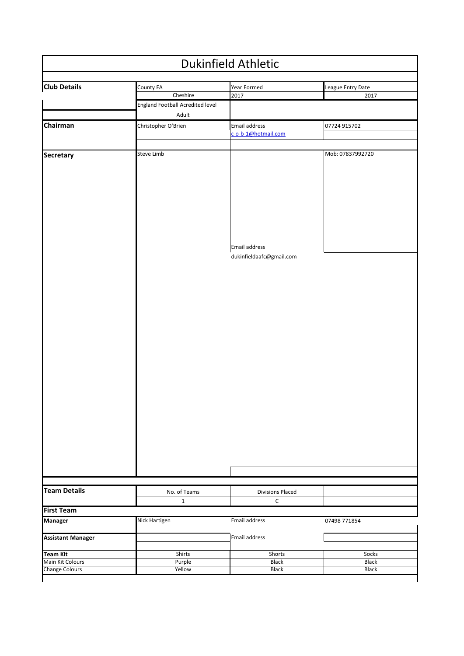| <b>Dukinfield Athletic</b>                                   |                                           |                                           |                           |  |
|--------------------------------------------------------------|-------------------------------------------|-------------------------------------------|---------------------------|--|
| <b>Club Details</b>                                          | County FA<br>Cheshire                     | Year Formed<br>2017                       | League Entry Date<br>2017 |  |
|                                                              | England Football Acredited level<br>Adult |                                           |                           |  |
| Chairman                                                     | Christopher O'Brien                       | Email address<br>c-o-b-1@hotmail.com      | 07724 915702              |  |
| Secretary                                                    | Steve Limb                                |                                           | Mob: 07837992720          |  |
|                                                              |                                           | Email address<br>dukinfieldaafc@gmail.com |                           |  |
|                                                              |                                           |                                           |                           |  |
|                                                              |                                           |                                           |                           |  |
|                                                              |                                           |                                           |                           |  |
|                                                              |                                           |                                           |                           |  |
|                                                              |                                           |                                           |                           |  |
|                                                              |                                           |                                           |                           |  |
|                                                              | No. of Teams                              | <b>Divisions Placed</b>                   |                           |  |
| <b>Team Details</b>                                          | $\mathbf{1}$                              | $\mathsf C$                               |                           |  |
|                                                              | Nick Hartigen                             | Email address                             | 07498 771854              |  |
| <b>Assistant Manager</b>                                     |                                           | Email address                             |                           |  |
| <b>First Team</b><br><b>Manager</b>                          |                                           | Shorts                                    |                           |  |
| <b>Team Kit</b><br>Main Kit Colours<br><b>Change Colours</b> | Shirts<br>Purple                          | Black                                     | Socks<br>Black            |  |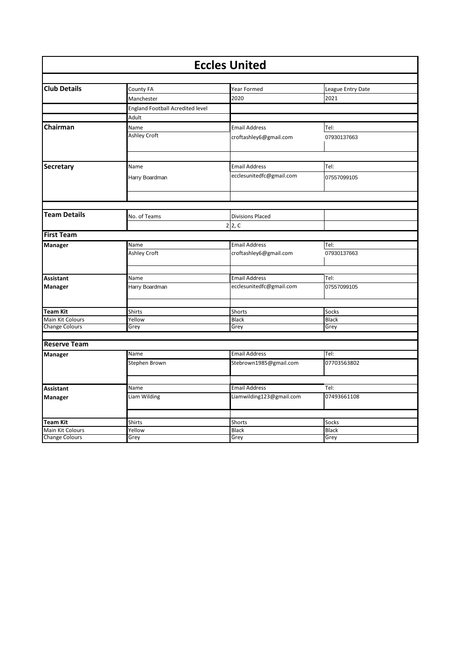| <b>Eccles United</b>        |                                         |                          |                   |
|-----------------------------|-----------------------------------------|--------------------------|-------------------|
|                             |                                         |                          |                   |
| <b>Club Details</b>         | County FA                               | Year Formed              | League Entry Date |
|                             | Manchester                              | 2020                     | 2021              |
|                             | <b>England Football Acredited level</b> |                          |                   |
|                             | Adult                                   |                          |                   |
| Chairman                    | Name                                    | <b>Email Address</b>     | Tel:              |
|                             | <b>Ashley Croft</b>                     | croftashley6@gmail.com   | 07930137663       |
|                             |                                         |                          |                   |
| <b>Secretary</b>            | Name                                    | <b>Email Address</b>     | Tel:              |
|                             | Harry Boardman                          | ecclesunitedfc@gmail.com | 07557099105       |
|                             |                                         |                          |                   |
| <b>Team Details</b>         | No. of Teams                            | <b>Divisions Placed</b>  |                   |
|                             |                                         | 2 2, C                   |                   |
| <b>First Team</b>           |                                         |                          |                   |
| <b>Manager</b>              | Name                                    | <b>Email Address</b>     | Tel:              |
|                             | Ashley Croft                            | croftashley6@gmail.com   | 07930137663       |
|                             | Name                                    | <b>Email Address</b>     | Tel:              |
| <b>Assistant</b><br>Manager | Harry Boardman                          | ecclesunitedfc@gmail.com | 07557099105       |
|                             |                                         |                          |                   |
| <b>Team Kit</b>             | <b>Shirts</b>                           | Shorts                   | Socks             |
| Main Kit Colours            | Yellow                                  | <b>Black</b>             | <b>Black</b>      |
| Change Colours              | Grey                                    | Grey                     | Grey              |
|                             |                                         |                          |                   |
| <b>Reserve Team</b>         |                                         |                          |                   |
| <b>Manager</b>              | Name                                    | <b>Email Address</b>     | Tel:              |
|                             | Stephen Brown                           | Stebrown1985@gmail.com   | 07703563802       |
|                             |                                         |                          |                   |
| <b>Assistant</b>            | Name                                    | <b>Email Address</b>     | Tel:              |
| Manager                     | Liam Wilding                            | Liamwilding123@gmail.com | 07493661108       |
|                             |                                         |                          |                   |
| <b>Team Kit</b>             | <b>Shirts</b>                           | <b>Shorts</b>            | Socks             |
| Main Kit Colours            | Yellow                                  | <b>Black</b>             | <b>Black</b>      |
| <b>Change Colours</b>       | Grey                                    | Grey                     | Grey              |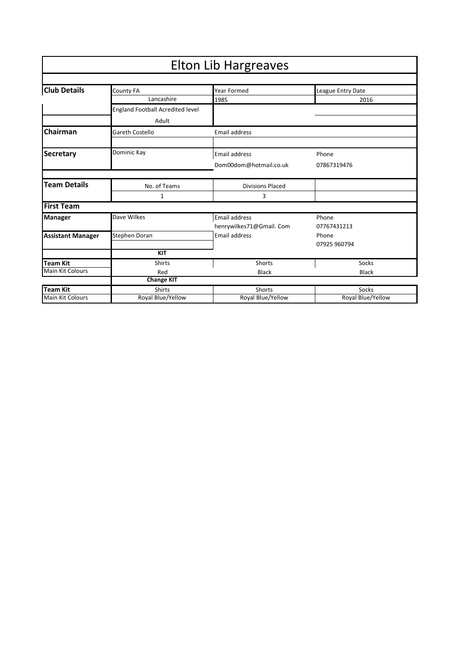| <b>Elton Lib Hargreaves</b> |                                  |                          |                   |
|-----------------------------|----------------------------------|--------------------------|-------------------|
|                             |                                  |                          |                   |
| <b>Club Details</b>         | County FA                        | Year Formed              | League Entry Date |
|                             | Lancashire                       | 1985                     | 2016              |
|                             | England Football Acredited level |                          |                   |
|                             | Adult                            |                          |                   |
| Chairman                    | <b>Gareth Costello</b>           | <b>Email address</b>     |                   |
|                             |                                  |                          |                   |
| <b>Secretary</b>            | Dominic Kay                      | Email address            | Phone             |
|                             |                                  | Dom00dom@hotmail.co.uk   | 07867319476       |
| <b>Team Details</b>         | No. of Teams                     | <b>Divisions Placed</b>  |                   |
|                             | 1                                | 3                        |                   |
| <b>First Team</b>           |                                  |                          |                   |
| <b>Manager</b>              | Dave Wilkes                      | Email address            | Phone             |
|                             |                                  | henrywilkes71@Gmail. Com | 07767431213       |
| <b>Assistant Manager</b>    | Stephen Doran                    | Email address            | Phone             |
|                             |                                  |                          | 07925 960794      |
|                             | <b>KIT</b>                       |                          |                   |
| <b>Team Kit</b>             | <b>Shirts</b>                    | Shorts                   | Socks             |
| <b>Main Kit Colours</b>     | Red                              | <b>Black</b>             | <b>Black</b>      |
|                             | <b>Change KIT</b>                |                          |                   |
| <b>Team Kit</b>             | <b>Shirts</b>                    | Shorts                   | Socks             |
| <b>Main Kit Colours</b>     | Royal Blue/Yellow                | Royal Blue/Yellow        | Royal Blue/Yellow |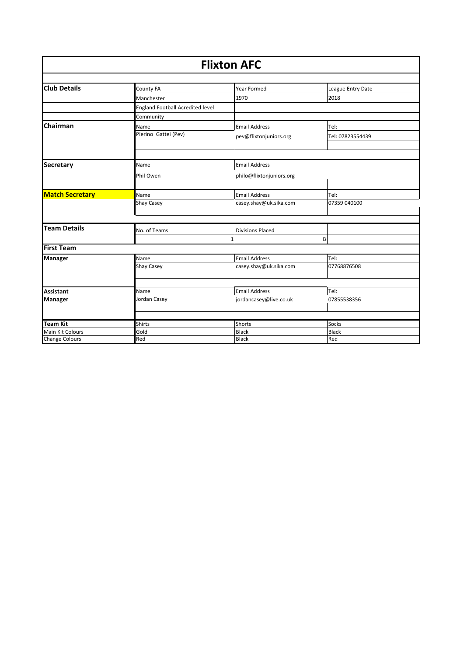| <b>Flixton AFC</b>     |                                  |                          |                   |
|------------------------|----------------------------------|--------------------------|-------------------|
| <b>Club Details</b>    | County FA                        | Year Formed              | League Entry Date |
|                        | Manchester                       | 1970                     | 2018              |
|                        | England Football Acredited level |                          |                   |
|                        | Community                        |                          |                   |
| Chairman               | Name                             | <b>Email Address</b>     | Tel:              |
|                        | Pierino Gattei (Pev)             | pev@flixtonjuniors.org   | Tel: 07823554439  |
|                        |                                  |                          |                   |
| <b>Secretary</b>       | Name                             | <b>Email Address</b>     |                   |
|                        | Phil Owen                        | philo@flixtonjuniors.org |                   |
| <b>Match Secretary</b> | Name                             | <b>Email Address</b>     | Tel:              |
|                        | <b>Shay Casey</b>                | casey.shay@uk.sika.com   | 07359 040100      |
| <b>Team Details</b>    |                                  |                          |                   |
|                        | No. of Teams                     | <b>Divisions Placed</b>  |                   |
| <b>First Team</b>      |                                  |                          | B                 |
| <b>Manager</b>         | Name                             | <b>Email Address</b>     | Tel:              |
|                        | <b>Shay Casey</b>                | casey.shay@uk.sika.com   | 07768876508       |
| <b>Assistant</b>       | Name                             | <b>Email Address</b>     | Tel:              |
| <b>Manager</b>         | Jordan Casey                     | jordancasey@live.co.uk   | 07855538356       |
|                        |                                  |                          |                   |
| <b>Team Kit</b>        | Shirts                           | Shorts                   | Socks             |
| Main Kit Colours       | Gold                             | <b>Black</b>             | <b>Black</b>      |
| <b>Change Colours</b>  | Red                              | <b>Black</b>             | Red               |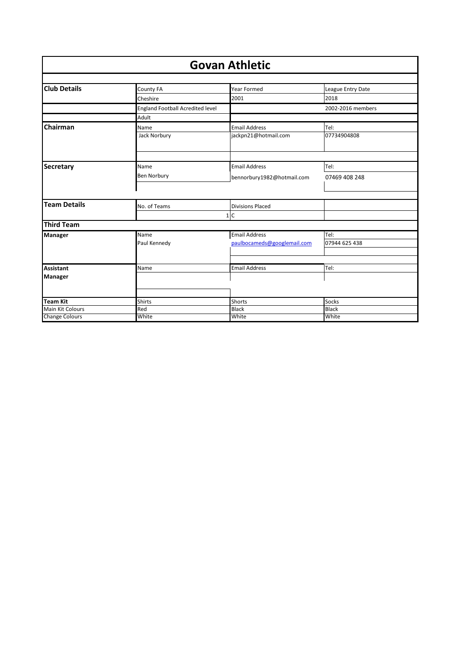| <b>Govan Athletic</b> |                                         |                             |                   |
|-----------------------|-----------------------------------------|-----------------------------|-------------------|
|                       |                                         |                             |                   |
| <b>Club Details</b>   | County FA                               | Year Formed                 | League Entry Date |
|                       | Cheshire                                | 2001                        | 2018              |
|                       | <b>England Football Acredited level</b> |                             | 2002-2016 members |
|                       | Adult                                   |                             |                   |
| Chairman              | Name                                    | <b>Email Address</b>        | Tel:              |
|                       | Jack Norbury                            | jackpn21@hotmail.com        | 07734904808       |
|                       |                                         |                             |                   |
| <b>Secretary</b>      | Name                                    | <b>Email Address</b>        | Tel:              |
|                       | Ben Norbury                             | bennorbury1982@hotmail.com  | 07469 408 248     |
|                       |                                         |                             |                   |
| <b>Team Details</b>   | No. of Teams                            | <b>Divisions Placed</b>     |                   |
|                       |                                         | 1 C                         |                   |
| <b>Third Team</b>     |                                         |                             |                   |
| <b>Manager</b>        | Name                                    | <b>Email Address</b>        | Tel:              |
|                       | Paul Kennedy                            | paulbocameds@googlemail.com | 07944 625 438     |
|                       |                                         |                             |                   |
|                       |                                         |                             |                   |
| <b>Assistant</b>      | Name                                    | <b>Email Address</b>        | Tel:              |
| <b>Manager</b>        |                                         |                             |                   |
|                       |                                         |                             |                   |
| <b>Team Kit</b>       | <b>Shirts</b>                           | <b>Shorts</b>               | Socks             |
| Main Kit Colours      | Red                                     | Black                       | <b>Black</b>      |
| <b>Change Colours</b> | White                                   | White                       | White             |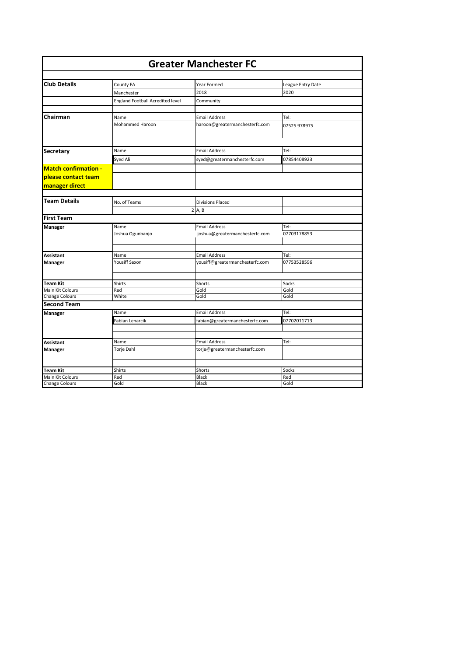| <b>Greater Manchester FC</b>              |                                  |                                 |                   |
|-------------------------------------------|----------------------------------|---------------------------------|-------------------|
|                                           |                                  |                                 |                   |
| <b>Club Details</b>                       | County FA                        | Year Formed                     | League Entry Date |
|                                           | Manchester                       | 2018                            | 2020              |
|                                           | England Football Acredited level | Community                       |                   |
|                                           |                                  |                                 |                   |
| Chairman                                  | Name                             | <b>Email Address</b>            | Tel:              |
|                                           | Mohammed Haroon                  | haroon@greatermanchesterfc.com  | 07525 978975      |
| <b>Secretary</b>                          | Name                             | <b>Email Address</b>            | Tel:              |
|                                           | Syed Ali                         | syed@greatermanchesterfc.com    | 07854408923       |
|                                           |                                  |                                 |                   |
| <b>Match confirmation -</b>               |                                  |                                 |                   |
| please contact team                       |                                  |                                 |                   |
| manager direct                            |                                  |                                 |                   |
|                                           |                                  |                                 |                   |
| <b>Team Details</b>                       | No. of Teams                     | <b>Divisions Placed</b>         |                   |
|                                           |                                  | 2 A, B                          |                   |
| <b>First Team</b>                         |                                  |                                 |                   |
| <b>Manager</b>                            | Name                             | <b>Email Address</b>            | Tel:              |
|                                           | Joshua Ogunbanjo                 | joshua@greatermanchesterfc.com  | 07703178853       |
|                                           | Name                             | <b>Email Address</b>            | Tel:              |
| <b>Assistant</b>                          | Yousiff Saxon                    | yousiff@greatermanchesterfc.com | 07753528596       |
| Manager                                   |                                  |                                 |                   |
|                                           |                                  |                                 |                   |
| <b>Team Kit</b>                           | <b>Shirts</b>                    | Shorts                          | Socks             |
| Main Kit Colours<br><b>Change Colours</b> | Red<br>White                     | Gold<br>Gold                    | Gold<br>Gold      |
| <b>Second Team</b>                        |                                  |                                 |                   |
|                                           |                                  | <b>Email Address</b>            | Tel:              |
| Manager                                   | Name                             |                                 |                   |
|                                           | Fabian Lenarcik                  | fabian@greatermanchesterfc.com  | 07702011713       |
|                                           |                                  |                                 |                   |
| <b>Assistant</b>                          | Name                             | <b>Email Address</b>            | Tel:              |
| Manager                                   | Torje Dahl                       | torje@greatermanchesterfc.com   |                   |
| <b>Team Kit</b>                           | Shirts                           | Shorts                          | Socks             |
| Main Kit Colours                          | Red                              | Black                           | Red               |
| <b>Change Colours</b>                     | Gold                             | <b>Black</b>                    | Gold              |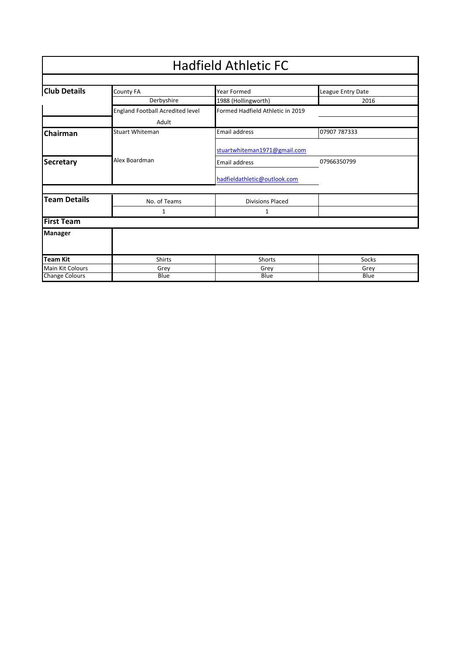|                         | <b>Hadfield Athletic FC</b>      |                                  |                   |  |
|-------------------------|----------------------------------|----------------------------------|-------------------|--|
|                         |                                  |                                  |                   |  |
| <b>Club Details</b>     | County FA                        | <b>Year Formed</b>               | League Entry Date |  |
|                         | Derbyshire                       | 1988 (Hollingworth)              | 2016              |  |
|                         | England Football Acredited level | Formed Hadfield Athletic in 2019 |                   |  |
|                         | Adult                            |                                  |                   |  |
| Chairman                | <b>Stuart Whiteman</b>           | <b>Email address</b>             | 07907 787333      |  |
|                         |                                  | stuartwhiteman1971@gmail.com     |                   |  |
| <b>Secretary</b>        | Alex Boardman                    | <b>Email address</b>             | 07966350799       |  |
|                         |                                  | hadfieldathletic@outlook.com     |                   |  |
| <b>Team Details</b>     | No. of Teams                     | <b>Divisions Placed</b>          |                   |  |
|                         | 1                                | 1                                |                   |  |
| <b>First Team</b>       |                                  |                                  |                   |  |
| <b>Manager</b>          |                                  |                                  |                   |  |
| <b>Team Kit</b>         | <b>Shirts</b>                    | Shorts                           | Socks             |  |
| <b>Main Kit Colours</b> | Grey                             | Grey                             | Grey              |  |
| <b>Change Colours</b>   | Blue                             | Blue                             | Blue              |  |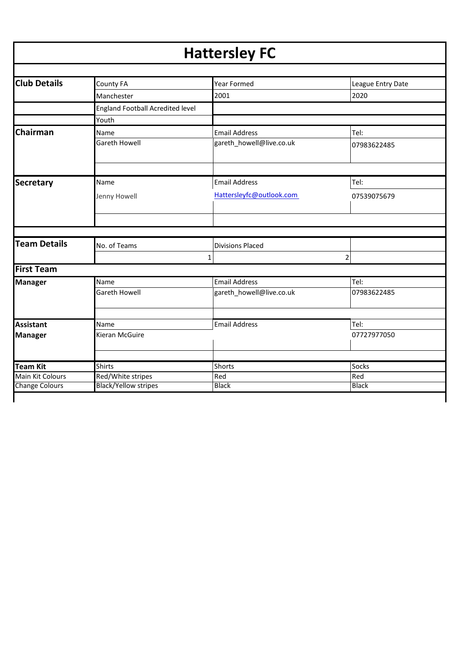# **Hattersley FC**

| <b>Club Details</b>   | County FA                               | Year Formed              | League Entry Date |
|-----------------------|-----------------------------------------|--------------------------|-------------------|
|                       | Manchester                              | 2001                     | 2020              |
|                       | <b>England Football Acredited level</b> |                          |                   |
|                       | Youth                                   |                          |                   |
| Chairman              | Name                                    | <b>Email Address</b>     | Tel:              |
|                       | Gareth Howell                           | gareth_howell@live.co.uk | 07983622485       |
|                       |                                         |                          |                   |
| <b>Secretary</b>      | Name                                    | <b>Email Address</b>     | Tel:              |
|                       | Jenny Howell                            | Hattersleyfc@outlook.com | 07539075679       |
|                       |                                         |                          |                   |
|                       |                                         |                          |                   |
| <b>Team Details</b>   | No. of Teams                            | <b>Divisions Placed</b>  |                   |
|                       |                                         | 1                        | $\overline{2}$    |
| <b>First Team</b>     |                                         |                          |                   |
| <b>Manager</b>        | Name                                    | <b>Email Address</b>     | Tel:              |
|                       | <b>Gareth Howell</b>                    | gareth_howell@live.co.uk | 07983622485       |
|                       |                                         |                          |                   |
| <b>Assistant</b>      | Name                                    | <b>Email Address</b>     | Tel:              |
| <b>Manager</b>        | Kieran McGuire                          |                          | 07727977050       |
|                       |                                         |                          |                   |
| <b>Team Kit</b>       | <b>Shirts</b>                           | Shorts                   | Socks             |
| Main Kit Colours      | Red/White stripes                       | Red                      | Red               |
| <b>Change Colours</b> | <b>Black/Yellow stripes</b>             | <b>Black</b>             | <b>Black</b>      |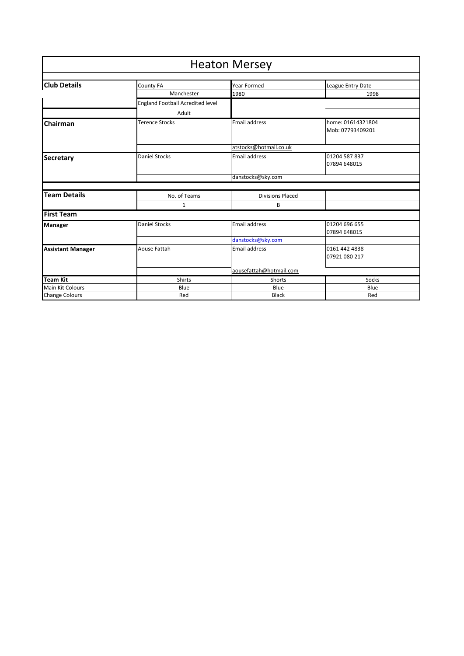| <b>Heaton Mersey</b>     |                                         |                         |                                       |  |
|--------------------------|-----------------------------------------|-------------------------|---------------------------------------|--|
|                          |                                         |                         |                                       |  |
| <b>Club Details</b>      | County FA                               | <b>Year Formed</b>      | League Entry Date                     |  |
|                          | Manchester                              | 1980                    | 1998                                  |  |
|                          | <b>England Football Acredited level</b> |                         |                                       |  |
|                          | Adult                                   |                         |                                       |  |
| Chairman                 | Terence Stocks                          | <b>Email address</b>    | home: 01614321804<br>Mob: 07793409201 |  |
|                          |                                         | atstocks@hotmail.co.uk  |                                       |  |
| <b>Secretary</b>         | <b>Daniel Stocks</b>                    | <b>Email address</b>    | 01204 587 837                         |  |
|                          |                                         |                         | 07894 648015                          |  |
|                          |                                         | danstocks@sky.com       |                                       |  |
|                          |                                         |                         |                                       |  |
| <b>Team Details</b>      | No. of Teams                            | <b>Divisions Placed</b> |                                       |  |
|                          | 1                                       | B                       |                                       |  |
| <b>First Team</b>        |                                         |                         |                                       |  |
| Manager                  | <b>Daniel Stocks</b>                    | Email address           | 01204 696 655                         |  |
|                          |                                         |                         | 07894 648015                          |  |
|                          |                                         | danstocks@sky.com       |                                       |  |
| <b>Assistant Manager</b> | Aouse Fattah                            | Email address           | 0161 442 4838                         |  |
|                          |                                         |                         | 07921 080 217                         |  |
|                          |                                         | aousefattah@hotmail.com |                                       |  |
| <b>Team Kit</b>          | <b>Shirts</b>                           | Shorts                  | Socks                                 |  |
| <b>Main Kit Colours</b>  | Blue                                    | Blue                    | Blue                                  |  |
| <b>Change Colours</b>    | Red                                     | <b>Black</b>            | Red                                   |  |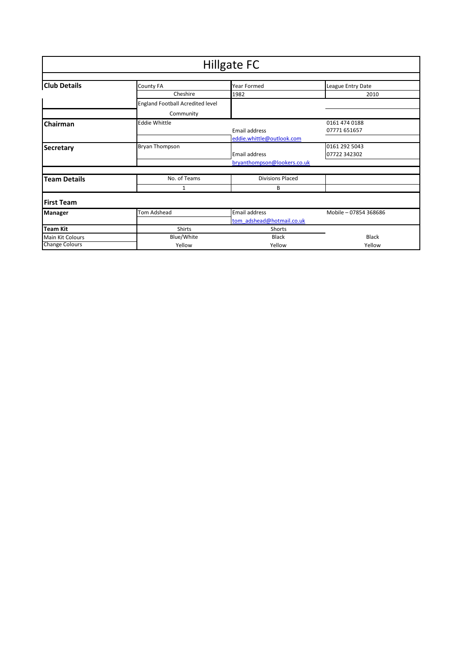| Hillgate FC           |                                  |                             |                       |
|-----------------------|----------------------------------|-----------------------------|-----------------------|
|                       |                                  |                             |                       |
| <b>Club Details</b>   | County FA                        | Year Formed                 | League Entry Date     |
|                       | Cheshire                         | 1982                        | 2010                  |
|                       | England Football Acredited level |                             |                       |
|                       | Community                        |                             |                       |
| Chairman              | <b>Eddie Whittle</b>             |                             | 0161 474 0188         |
|                       |                                  | Email address               | 07771 651657          |
|                       |                                  | eddie.whittle@outlook.com   |                       |
| <b>Secretary</b>      | Bryan Thompson                   |                             | 0161 292 5043         |
|                       |                                  | Email address               | 07722 342302          |
|                       |                                  | bryanthompson@lookers.co.uk |                       |
|                       |                                  |                             |                       |
| <b>Team Details</b>   | No. of Teams                     | <b>Divisions Placed</b>     |                       |
|                       | 1                                | В                           |                       |
| <b>First Team</b>     |                                  |                             |                       |
| <b>Manager</b>        | Tom Adshead                      | Email address               | Mobile - 07854 368686 |
|                       |                                  | tom_adshead@hotmail.co.uk   |                       |
| Team Kit              | Shirts                           | Shorts                      |                       |
| Main Kit Colours      | Blue/White                       | <b>Black</b>                | <b>Black</b>          |
| <b>Change Colours</b> | Yellow                           | Yellow                      | Yellow                |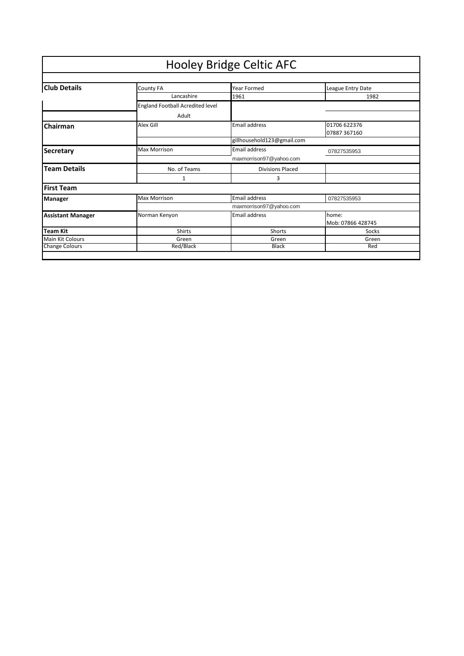|                          |                                  | <b>Hooley Bridge Celtic AFC</b> |                              |
|--------------------------|----------------------------------|---------------------------------|------------------------------|
|                          |                                  |                                 |                              |
| <b>Club Details</b>      | <b>County FA</b>                 | Year Formed                     | League Entry Date            |
|                          | Lancashire                       | 1961                            | 1982                         |
|                          | England Football Acredited level |                                 |                              |
|                          | Adult                            |                                 |                              |
| Chairman                 | Alex Gill                        | <b>Email address</b>            | 01706 622376<br>07887 367160 |
|                          |                                  | gillhousehold123@gmail.com      |                              |
| Secretary                | <b>Max Morrison</b>              | Email address                   | 07827535953                  |
|                          |                                  | maxmorrison97@yahoo.com         |                              |
| <b>Team Details</b>      | No. of Teams                     | <b>Divisions Placed</b>         |                              |
|                          | 1                                | 3                               |                              |
| <b>First Team</b>        |                                  |                                 |                              |
| <b>Manager</b>           | <b>Max Morrison</b>              | Email address                   | 07827535953                  |
|                          |                                  | maxmorrison97@yahoo.com         |                              |
| <b>Assistant Manager</b> | Norman Kenyon                    | Email address                   | home:<br>Mob: 07866 428745   |
| <b>Team Kit</b>          | <b>Shirts</b>                    | Shorts                          | Socks                        |
| Main Kit Colours         | Green                            | Green                           | Green                        |
| <b>Change Colours</b>    | Red/Black                        | <b>Black</b>                    | Red                          |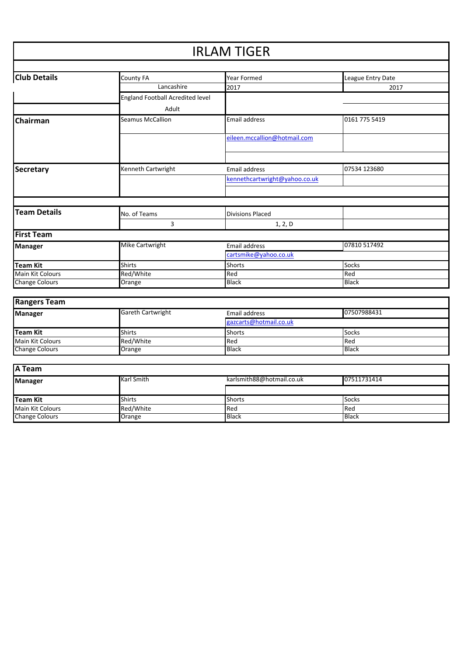### **Club Details** County FA **COUNTY FA** Year Formed Vear League Entry Date Lancashire 2017 2017 England Football Acredited level Adult **Chairman** Seamus McCallion **Email address** 10161 775 5419 [eileen.mccallion@hotmail.com](mailto:eileen.mccallion@hotmail.com) **Secretary Kenneth Cartwright** Email address **1896** 123680 [kennethcartwright@yahoo.co.uk](mailto:kennethcartwright@yahoo.co.uk) **Team Details No. of Teams Divisions Placed** 3 1, 2, D **First Team Manager** Mike Cartwright Email address **Email address** 07810 517492 [cartsmike@yahoo.co.uk](mailto:cartsmike@yahoo.co.uk) **Team Kit** Shirts Shirts Shorts Shorts Shorts Socks Main Kit Colours Red/White Red Red Change Colours IRLAM TIGER

| <b>Rangers Team</b>   |                          |                        |              |  |
|-----------------------|--------------------------|------------------------|--------------|--|
| <b>Manager</b>        | <b>Gareth Cartwright</b> | Email address          | 07507988431  |  |
|                       |                          | gazcarts@hotmail.co.uk |              |  |
| Team Kit              | <b>Shirts</b>            | <b>Shorts</b>          | Socks        |  |
| Main Kit Colours      | Red/White                | Red                    | Red          |  |
| <b>Change Colours</b> | Orange                   | <b>Black</b>           | <b>Black</b> |  |

| <b>A</b> Team           |               |                           |              |  |
|-------------------------|---------------|---------------------------|--------------|--|
| <b>Manager</b>          | Karl Smith    | karlsmith88@hotmail.co.uk | 07511731414  |  |
|                         |               |                           |              |  |
| Team Kit                | <b>Shirts</b> | <b>Shorts</b>             | Socks        |  |
| <b>Main Kit Colours</b> | Red/White     | Red                       | <b>Red</b>   |  |
| <b>Change Colours</b>   | Orange        | <b>Black</b>              | <b>Black</b> |  |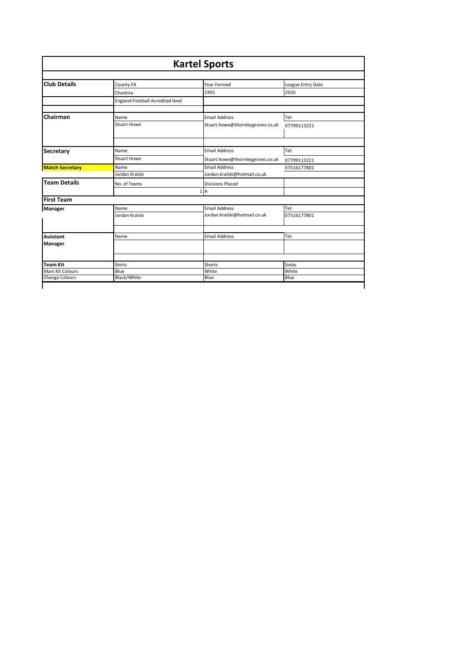| <b>Kartel Sports</b>   |                                  |                                  |                   |
|------------------------|----------------------------------|----------------------------------|-------------------|
| <b>Club Details</b>    | County FA                        | Year Formed                      | League Entry Date |
|                        | Cheshire                         | 1991                             | 2020              |
|                        | England Football Acredited level |                                  |                   |
| Chairman               | Name                             | <b>Email Address</b>             | Tel:              |
|                        | <b>Stuart Howe</b>               | Stuart.howe@thornleygroves.co.uk | 07799113221       |
| Secretary              | Name                             | <b>Email Address</b>             | Tel:              |
|                        | <b>Stuart Howe</b>               | Stuart.howe@thornleygroves.co.uk | 07799113221       |
| <b>Match Secretary</b> | Name                             | <b>Email Address</b>             | 07516177801       |
|                        | Jordan Kralski                   | Jordan.kralski@hotmail.co.uk     |                   |
| <b>Team Details</b>    | No. of Teams                     | <b>Divisions Placed</b>          |                   |
| <b>First Team</b>      |                                  | 1 A                              |                   |
| <b>Manager</b>         | Name                             | <b>Email Address</b>             | Tel:              |
|                        | Jordan Kralski                   | Jordan.kralski@hotmail.co.uk     | 07516177801       |
| <b>Assistant</b>       | Name                             | <b>Email Address</b>             | Tel:              |
| Manager                |                                  |                                  |                   |
| <b>Team Kit</b>        | <b>Shirts</b>                    | Shorts                           | Socks             |
| Main Kit Colours       | Blue                             | White                            | White             |
| <b>Change Colours</b>  | <b>Black/White</b>               | Blue                             | Blue              |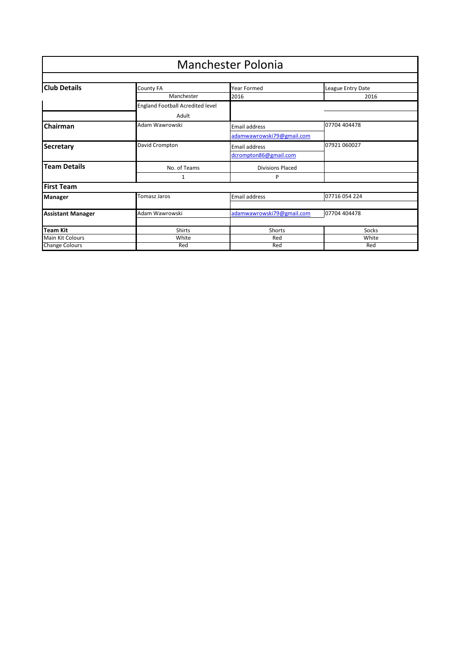|                                           |                                         | <b>Manchester Polonia</b>     |                   |
|-------------------------------------------|-----------------------------------------|-------------------------------|-------------------|
| <b>Club Details</b>                       | County FA                               | Year Formed                   | League Entry Date |
|                                           | Manchester                              | 2016                          | 2016              |
|                                           | <b>England Football Acredited level</b> |                               |                   |
|                                           | Adult                                   |                               |                   |
| Chairman                                  | Adam Wawrowski                          | 07704 404478<br>Email address |                   |
|                                           |                                         | adamwawrowski79@gmail.com     |                   |
| <b>Secretary</b>                          | David Crompton                          | Email address                 | 07921 060027      |
|                                           |                                         | dcrompton86@gmail.com         |                   |
| <b>Team Details</b>                       | No. of Teams                            | <b>Divisions Placed</b>       |                   |
|                                           | 1                                       | P                             |                   |
| <b>First Team</b>                         |                                         |                               |                   |
| Manager                                   | Tomasz Jaros                            | Email address                 | 07716 054 224     |
|                                           |                                         |                               |                   |
| <b>Assistant Manager</b>                  | Adam Wawrowski                          | adamwawrowski79@gmail.com     | 07704 404478      |
|                                           |                                         |                               |                   |
| <b>Team Kit</b>                           | Shirts                                  | Shorts                        | Socks             |
| Main Kit Colours<br><b>Change Colours</b> | White<br>Red                            | Red<br>Red                    | White<br>Red      |
|                                           |                                         |                               |                   |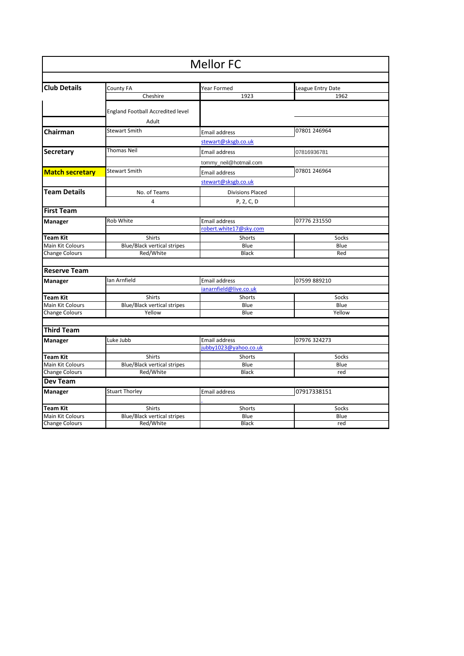| <b>Mellor FC</b>        |                                                   |                         |                   |  |
|-------------------------|---------------------------------------------------|-------------------------|-------------------|--|
|                         |                                                   |                         |                   |  |
| <b>Club Details</b>     | County FA                                         | Year Formed             | League Entry Date |  |
|                         | Cheshire                                          | 1923                    | 1962              |  |
|                         | <b>England Football Accredited level</b><br>Adult |                         |                   |  |
|                         |                                                   |                         |                   |  |
| Chairman                | <b>Stewart Smith</b>                              | Email address           | 07801 246964      |  |
|                         |                                                   | stewart@sksgb.co.uk     |                   |  |
| <b>Secretary</b>        | <b>Thomas Neil</b>                                | Email address           | 07816936781       |  |
|                         |                                                   | tommy_neil@hotmail.com  |                   |  |
| <b>Match secretary</b>  | <b>Stewart Smith</b>                              | Email address           | 07801 246964      |  |
|                         |                                                   | stewart@sksgb.co.uk     |                   |  |
| <b>Team Details</b>     | No. of Teams                                      | <b>Divisions Placed</b> |                   |  |
|                         | 4                                                 | P, 2, C, D              |                   |  |
| <b>First Team</b>       |                                                   |                         |                   |  |
| <b>Manager</b>          | Rob White                                         | Email address           | 07776 231550      |  |
|                         |                                                   | robert.white17@sky.com  |                   |  |
| <b>Team Kit</b>         | <b>Shirts</b>                                     | <b>Shorts</b>           | Socks             |  |
| <b>Main Kit Colours</b> | <b>Blue/Black vertical stripes</b>                | Blue                    | Blue              |  |
| <b>Change Colours</b>   | Red/White                                         | <b>Black</b>            | Red               |  |
| <b>Reserve Team</b>     |                                                   |                         |                   |  |
|                         | Ian Arnfield                                      | Email address           | 07599 889210      |  |
| <b>Manager</b>          |                                                   | janarnfield@live.co.uk  |                   |  |
| <b>Team Kit</b>         | Shirts                                            | Shorts                  | Socks             |  |
| <b>Main Kit Colours</b> | <b>Blue/Black vertical stripes</b>                | Blue                    | Blue              |  |
| <b>Change Colours</b>   | Yellow                                            | Blue                    | Yellow            |  |
|                         |                                                   |                         |                   |  |
| <b>Third Team</b>       |                                                   |                         |                   |  |
| Manager                 | Luke Jubb                                         | Email address           | 07976 324273      |  |
|                         |                                                   | jubby1023@yahoo.co.uk   |                   |  |
| <b>Team Kit</b>         | <b>Shirts</b>                                     | <b>Shorts</b>           | Socks             |  |
| Main Kit Colours        | <b>Blue/Black vertical stripes</b>                | Blue                    | Blue              |  |
| <b>Change Colours</b>   | Red/White                                         | <b>Black</b>            | red               |  |
| Dev Team                |                                                   |                         |                   |  |
| <b>Manager</b>          | <b>Stuart Thorley</b>                             | Email address           | 07917338151       |  |
| <b>Team Kit</b>         | <b>Shirts</b>                                     | <b>Shorts</b>           | Socks             |  |
| Main Kit Colours        | <b>Blue/Black vertical stripes</b>                | Blue                    | Blue              |  |
| <b>Change Colours</b>   | Red/White                                         | Black                   | red               |  |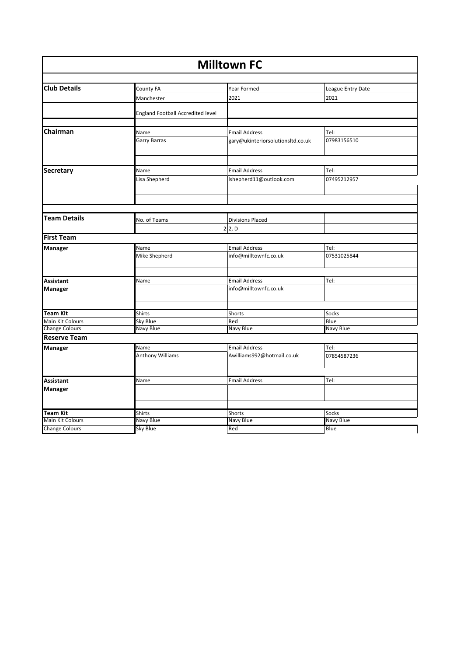| <b>Milltown FC</b>    |                                          |                                   |                   |  |
|-----------------------|------------------------------------------|-----------------------------------|-------------------|--|
|                       |                                          |                                   |                   |  |
| <b>Club Details</b>   | County FA                                | Year Formed                       | League Entry Date |  |
|                       | Manchester                               | 2021                              | 2021              |  |
|                       | <b>England Football Accredited level</b> |                                   |                   |  |
| Chairman              |                                          | <b>Email Address</b>              | Tel:              |  |
|                       | Name<br>Garry Barras                     | gary@ukinteriorsolutionsltd.co.uk | 07983156510       |  |
|                       |                                          |                                   |                   |  |
| <b>Secretary</b>      | Name                                     | <b>Email Address</b>              | Tel:              |  |
|                       | Lisa Shepherd                            | lshepherd11@outlook.com           | 07495212957       |  |
|                       |                                          |                                   |                   |  |
|                       |                                          |                                   |                   |  |
| <b>Team Details</b>   | No. of Teams                             | <b>Divisions Placed</b>           |                   |  |
|                       |                                          | $2$ 2, D                          |                   |  |
| <b>First Team</b>     |                                          |                                   |                   |  |
| Manager               | Name                                     | <b>Email Address</b>              | Tel:              |  |
|                       | Mike Shepherd                            | info@milltownfc.co.uk             | 07531025844       |  |
| Assistant             | Name                                     | <b>Email Address</b>              | Tel:              |  |
| <b>Manager</b>        |                                          | info@milltownfc.co.uk             |                   |  |
|                       |                                          |                                   |                   |  |
| <b>Team Kit</b>       | Shirts                                   | Shorts                            | Socks             |  |
| Main Kit Colours      | Sky Blue                                 | Red                               | Blue              |  |
| <b>Change Colours</b> | Navy Blue                                | Navy Blue                         | Navy Blue         |  |
| <b>Reserve Team</b>   |                                          |                                   |                   |  |
| <b>Manager</b>        | Name                                     | <b>Email Address</b>              | Tel:              |  |
|                       | <b>Anthony Williams</b>                  | Awilliams992@hotmail.co.uk        | 07854587236       |  |
| <b>Assistant</b>      |                                          | <b>Email Address</b>              | Tel:              |  |
| Manager               | Name                                     |                                   |                   |  |
|                       |                                          |                                   |                   |  |
| <b>Team Kit</b>       | Shirts                                   | Shorts                            | Socks             |  |
| Main Kit Colours      | Navy Blue                                | Navy Blue                         | Navy Blue         |  |
| <b>Change Colours</b> | Sky Blue                                 | Red                               | Blue              |  |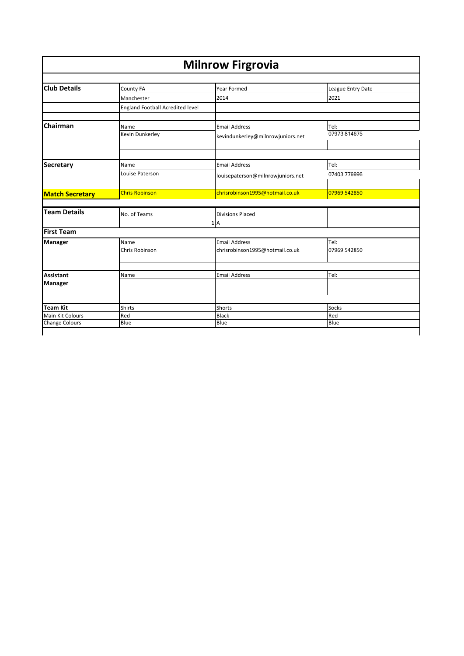| <b>Milnrow Firgrovia</b> |                                  |                                   |                   |  |
|--------------------------|----------------------------------|-----------------------------------|-------------------|--|
| <b>Club Details</b>      |                                  |                                   |                   |  |
|                          | County FA                        | Year Formed                       | League Entry Date |  |
|                          | Manchester                       | 2014                              | 2021              |  |
|                          | England Football Acredited level |                                   |                   |  |
| Chairman                 | Name                             | <b>Email Address</b>              | Tel:              |  |
|                          | Kevin Dunkerley                  | kevindunkerley@milnrowjuniors.net | 07973 814675      |  |
|                          |                                  |                                   |                   |  |
| <b>Secretary</b>         | Name                             | <b>Email Address</b>              | Tel:              |  |
|                          | Louise Paterson                  | louisepaterson@milnrowjuniors.net | 07403 779996      |  |
| <b>Match Secretary</b>   | <b>Chris Robinson</b>            | chrisrobinson1995@hotmail.co.uk   | 07969 542850      |  |
|                          |                                  |                                   |                   |  |
| <b>Team Details</b>      | No. of Teams                     | <b>Divisions Placed</b>           |                   |  |
|                          |                                  | 1A                                |                   |  |
| <b>First Team</b>        |                                  |                                   |                   |  |
| <b>Manager</b>           | Name                             | <b>Email Address</b>              | Tel:              |  |
|                          | Chris Robinson                   | chrisrobinson1995@hotmail.co.uk   | 07969 542850      |  |
| <b>Assistant</b>         | Name                             | <b>Email Address</b>              | Tel:              |  |
| <b>Manager</b>           |                                  |                                   |                   |  |
|                          |                                  |                                   |                   |  |
| <b>Team Kit</b>          | Shirts                           | Shorts                            | Socks             |  |
| Main Kit Colours         | Red                              | <b>Black</b>                      | Red               |  |
| <b>Change Colours</b>    | Blue                             | Blue                              | Blue              |  |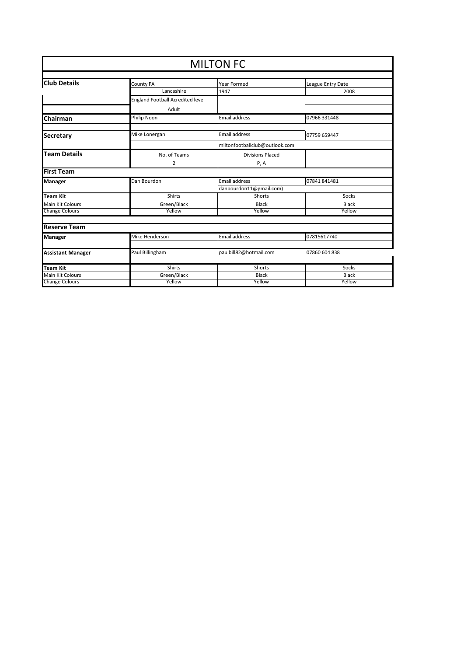| <b>MILTON FC</b>         |                                         |                         |                   |  |
|--------------------------|-----------------------------------------|-------------------------|-------------------|--|
|                          |                                         |                         |                   |  |
| <b>Club Details</b>      | County FA                               | Year Formed             | League Entry Date |  |
|                          | Lancashire                              | 1947                    | 2008              |  |
|                          | <b>England Football Acredited level</b> |                         |                   |  |
|                          | Adult                                   |                         |                   |  |
| <b>Chairman</b>          | Philip Noon                             | Email address           | 07966 331448      |  |
| <b>Secretary</b>         | Mike Lonergan                           | Email address           | 07759 659447      |  |
|                          | miltonfootballclub@outlook.com          |                         |                   |  |
| <b>Team Details</b>      | No. of Teams                            | <b>Divisions Placed</b> |                   |  |
|                          | 2                                       | P, A                    |                   |  |
| <b>First Team</b>        |                                         |                         |                   |  |
| <b>Manager</b>           | Dan Bourdon                             | Email address           | 07841841481       |  |
|                          |                                         | danbourdon11@gmail.com) |                   |  |
| <b>Team Kit</b>          | Shirts                                  | Shorts                  | Socks             |  |
| <b>Main Kit Colours</b>  | Green/Black                             | <b>Black</b>            | <b>Black</b>      |  |
| <b>Change Colours</b>    | Yellow                                  | Yellow                  | Yellow            |  |
| <b>Reserve Team</b>      |                                         |                         |                   |  |
| <b>Manager</b>           | Mike Henderson                          | Email address           | 07815617740       |  |
|                          |                                         |                         |                   |  |
| <b>Assistant Manager</b> | Paul Billingham                         | paulbill82@hotmail.com  | 07860 604 838     |  |
| <b>Team Kit</b>          | <b>Shirts</b>                           | Shorts                  | Socks             |  |
| <b>Main Kit Colours</b>  | Green/Black                             | <b>Black</b>            | <b>Black</b>      |  |
| <b>Change Colours</b>    | Yellow                                  | Yellow                  | Yellow            |  |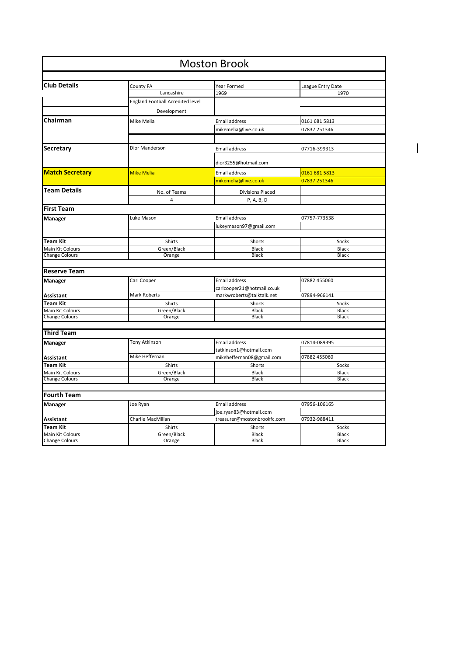| <b>Moston Brook</b>    |                                         |                             |                   |  |
|------------------------|-----------------------------------------|-----------------------------|-------------------|--|
| <b>Club Details</b>    | County FA                               | Year Formed                 | League Entry Date |  |
|                        | Lancashire                              | 1969                        | 1970              |  |
|                        | <b>England Football Acredited level</b> |                             |                   |  |
|                        | Development                             |                             |                   |  |
| Chairman               |                                         |                             |                   |  |
|                        | Mike Melia                              | Email address               | 0161 681 5813     |  |
|                        |                                         | mikemelia@live.co.uk        | 07837 251346      |  |
| Secretary              | Dior Manderson                          | Email address               | 07716-399313      |  |
|                        |                                         | dior3255@hotmail.com        |                   |  |
| <b>Match Secretary</b> | <b>Mike Melia</b>                       | Email address               | 0161 681 5813     |  |
|                        |                                         | mikemelia@live.co.uk        | 07837 251346      |  |
| <b>Team Details</b>    | No. of Teams                            | <b>Divisions Placed</b>     |                   |  |
|                        | 4                                       | P, A, B, D                  |                   |  |
| <b>First Team</b>      |                                         |                             |                   |  |
| <b>Manager</b>         | Luke Mason                              | Email address               | 07757-773538      |  |
|                        |                                         | lukeymason97@gmail.com      |                   |  |
|                        |                                         |                             |                   |  |
| <b>Team Kit</b>        | Shirts                                  | Shorts                      | Socks             |  |
| Main Kit Colours       | Green/Black                             | <b>Black</b>                | <b>Black</b>      |  |
| <b>Change Colours</b>  | Orange                                  | <b>Black</b>                | <b>Black</b>      |  |
| <b>Reserve Team</b>    |                                         |                             |                   |  |
| Manager                | Carl Cooper                             | Email address               | 07882 455060      |  |
|                        |                                         | carlcooper21@hotmail.co.uk  |                   |  |
| <b>Assistant</b>       | <b>Mark Roberts</b>                     | markwroberts@talktalk.net   | 07894-966141      |  |
| Team Kit               | Shirts                                  | Shorts                      | Socks             |  |
| Main Kit Colours       | Green/Black                             | Black                       | <b>Black</b>      |  |
| <b>Change Colours</b>  | Orange                                  | <b>Black</b>                | <b>Black</b>      |  |
| <b>Third Team</b>      |                                         |                             |                   |  |
|                        | Tony Atkinson                           | Email address               |                   |  |
| <b>Manager</b>         |                                         | tatkinson1@hotmail.com      | 07814-089395      |  |
| <b>Assistant</b>       | Mike Heffernan                          | mikeheffernan08@gmail.com   | 07882 455060      |  |
| <b>Team Kit</b>        | Shirts                                  | Shorts                      | Socks             |  |
| Main Kit Colours       | Green/Black                             | Black                       | <b>Black</b>      |  |
| <b>Change Colours</b>  | Orange                                  | <b>Black</b>                | <b>Black</b>      |  |
|                        |                                         |                             |                   |  |
| <b>Fourth Team</b>     |                                         |                             |                   |  |
| <b>Manager</b>         | Joe Ryan                                | Email address               | 07956-106165      |  |
|                        |                                         | joe.ryan83@hotmail.com      |                   |  |
| <b>Assistant</b>       | Charlie MacMillan                       | treasurer@mostonbrookfc.com | 07932-988411      |  |
| <b>Team Kit</b>        | Shirts                                  | Shorts                      | Socks             |  |
| Main Kit Colours       | Green/Black                             | Black                       | <b>Black</b>      |  |
| <b>Change Colours</b>  | Orange                                  | <b>Black</b>                | <b>Black</b>      |  |

 $\overline{\mathbf{I}}$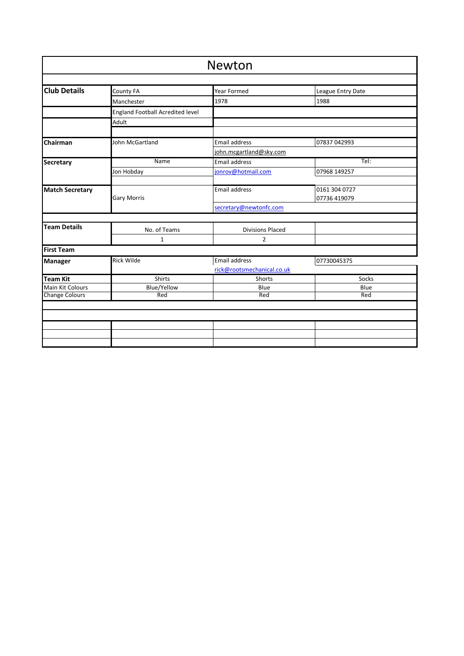| Newton                 |                                  |                            |                   |
|------------------------|----------------------------------|----------------------------|-------------------|
|                        |                                  |                            |                   |
| <b>Club Details</b>    | County FA                        | <b>Year Formed</b>         | League Entry Date |
|                        | Manchester                       | 1978                       | 1988              |
|                        | England Football Acredited level |                            |                   |
|                        | Adult                            |                            |                   |
| Chairman               | John McGartland                  | <b>Email address</b>       | 07837 042993      |
|                        |                                  | john.mcgartland@sky.com    |                   |
|                        | Name                             | <b>Email address</b>       | TeI:              |
| <b>Secretary</b>       |                                  |                            |                   |
|                        | Jon Hobday                       | jonrov@hotmail.com         | 07968 149257      |
| <b>Match Secretary</b> |                                  | <b>Email address</b>       | 0161 304 0727     |
|                        | <b>Gary Morris</b>               |                            | 07736 419079      |
|                        |                                  | secretary@newtonfc.com     |                   |
|                        |                                  |                            |                   |
| <b>Team Details</b>    | No. of Teams                     | <b>Divisions Placed</b>    |                   |
|                        | 1                                | $\overline{2}$             |                   |
| <b>First Team</b>      |                                  |                            |                   |
| <b>Manager</b>         | <b>Rick Wilde</b>                | Email address              | 07730045375       |
|                        |                                  | rick@rootsmechanical.co.uk |                   |
| <b>Team Kit</b>        | Shirts                           | Shorts                     | Socks             |
| Main Kit Colours       | <b>Blue/Yellow</b>               | Blue                       | Blue              |
| <b>Change Colours</b>  | Red                              | Red                        | Red               |
|                        |                                  |                            |                   |
|                        |                                  |                            |                   |
|                        |                                  |                            |                   |
|                        |                                  |                            |                   |
|                        |                                  |                            |                   |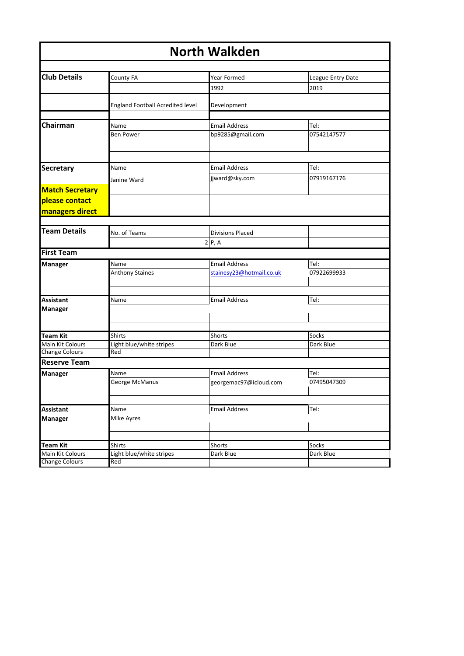| <b>North Walkden</b>   |                                  |                          |                   |  |
|------------------------|----------------------------------|--------------------------|-------------------|--|
|                        |                                  |                          |                   |  |
| <b>Club Details</b>    | County FA                        | Year Formed              | League Entry Date |  |
|                        |                                  | 1992                     | 2019              |  |
|                        | England Football Acredited level | Development              |                   |  |
|                        |                                  |                          |                   |  |
| Chairman               | Name                             | <b>Email Address</b>     | Tel:              |  |
|                        | <b>Ben Power</b>                 | bp9285@gmail.com         | 07542147577       |  |
|                        |                                  |                          |                   |  |
| Secretary              | Name                             | <b>Email Address</b>     | Tel:              |  |
|                        | Janine Ward                      | jjward@sky.com           | 07919167176       |  |
| <b>Match Secretary</b> |                                  |                          |                   |  |
| please contact         |                                  |                          |                   |  |
| managers direct        |                                  |                          |                   |  |
|                        |                                  |                          |                   |  |
| <b>Team Details</b>    | No. of Teams                     | <b>Divisions Placed</b>  |                   |  |
|                        |                                  | 2 P, A                   |                   |  |
| <b>First Team</b>      |                                  |                          |                   |  |
| Manager                | Name                             | <b>Email Address</b>     | Tel:              |  |
|                        | <b>Anthony Staines</b>           | stainesy23@hotmail.co.uk | 07922699933       |  |
|                        |                                  |                          |                   |  |
|                        |                                  |                          |                   |  |
| <b>Assistant</b>       | Name                             | <b>Email Address</b>     | Tel:              |  |
| <b>Manager</b>         |                                  |                          |                   |  |
|                        |                                  |                          |                   |  |
| <b>Team Kit</b>        | <b>Shirts</b>                    | Shorts                   | Socks             |  |
| Main Kit Colours       | Light blue/white stripes         | Dark Blue                | Dark Blue         |  |
| <b>Change Colours</b>  | Red                              |                          |                   |  |
| <b>Reserve Team</b>    |                                  |                          |                   |  |
| Manager                | Name                             | <b>Email Address</b>     | Tel:              |  |
|                        | George McManus                   | georgemac97@icloud.com   | 07495047309       |  |
|                        |                                  |                          |                   |  |
|                        |                                  |                          |                   |  |
| <b>Assistant</b>       | Name                             | <b>Email Address</b>     | Tel:              |  |
| Manager                | Mike Ayres                       |                          |                   |  |
|                        |                                  |                          |                   |  |
| <b>Team Kit</b>        | Shirts                           | Shorts                   | Socks             |  |
| Main Kit Colours       | Light blue/white stripes         | Dark Blue                | Dark Blue         |  |
| <b>Change Colours</b>  | Red                              |                          |                   |  |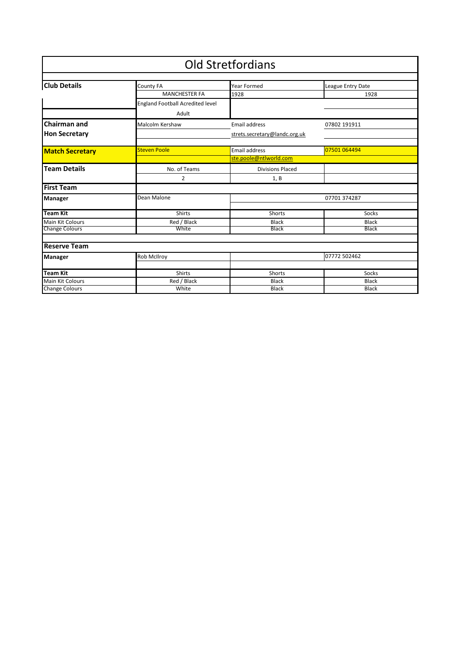|                         |                                   | <b>Old Stretfordians</b>      |                   |
|-------------------------|-----------------------------------|-------------------------------|-------------------|
| <b>Club Details</b>     |                                   | <b>Year Formed</b>            |                   |
|                         | County FA<br><b>MANCHESTER FA</b> |                               | League Entry Date |
|                         |                                   | 1928                          | 1928              |
|                         | England Football Acredited level  |                               |                   |
|                         | Adult                             |                               |                   |
| <b>Chairman and</b>     | Malcolm Kershaw                   | <b>Email address</b>          | 07802 191911      |
| <b>Hon Secretary</b>    |                                   | strets.secretary@landc.org.uk |                   |
|                         |                                   |                               |                   |
| <b>Match Secretary</b>  | <b>Steven Poole</b>               | <b>Email address</b>          | 07501 064494      |
|                         |                                   | ste.poole@ntlworld.com        |                   |
| <b>Team Details</b>     | No. of Teams                      | <b>Divisions Placed</b>       |                   |
|                         | 2                                 | 1, B                          |                   |
| <b>First Team</b>       |                                   |                               |                   |
| <b>Manager</b>          | Dean Malone                       | 07701 374287                  |                   |
|                         |                                   |                               |                   |
| <b>Team Kit</b>         | <b>Shirts</b>                     | Shorts                        | Socks             |
| <b>Main Kit Colours</b> | Red / Black                       | Black                         | <b>Black</b>      |
| <b>Change Colours</b>   | White                             | <b>Black</b>                  | <b>Black</b>      |
|                         |                                   |                               |                   |
| <b>Reserve Team</b>     |                                   |                               |                   |
| Manager                 | Rob McIlroy                       | 07772 502462                  |                   |
|                         |                                   |                               |                   |
| Team Kit                | <b>Shirts</b>                     | Shorts                        | Socks             |
| <b>Main Kit Colours</b> | Red / Black                       | <b>Black</b>                  | <b>Black</b>      |
| <b>Change Colours</b>   | White                             | <b>Black</b>                  | <b>Black</b>      |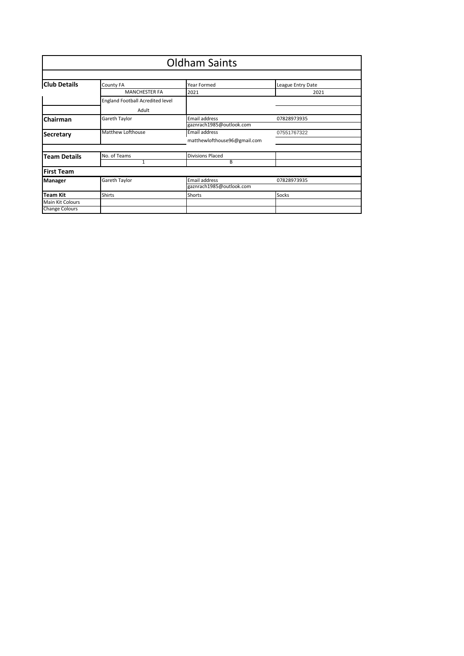|                                                              | <b>Oldham Saints</b>                                                  |                                                                           |                           |  |  |
|--------------------------------------------------------------|-----------------------------------------------------------------------|---------------------------------------------------------------------------|---------------------------|--|--|
| <b>Club Details</b>                                          | County FA<br><b>MANCHESTER FA</b><br>England Football Acredited level | Year Formed<br>2021                                                       | League Entry Date<br>2021 |  |  |
| Chairman                                                     | Adult<br>Gareth Taylor                                                | Email address                                                             | 07828973935               |  |  |
| <b>Secretary</b>                                             | Matthew Lofthouse                                                     | gaznrach1985@outlook.com<br>Email address<br>matthewlofthouse96@gmail.com | 07551767322               |  |  |
| <b>Team Details</b>                                          | No. of Teams<br>1                                                     | <b>Divisions Placed</b>                                                   |                           |  |  |
| <b>First Team</b>                                            |                                                                       | B                                                                         |                           |  |  |
| Manager                                                      | Gareth Taylor                                                         | Email address<br>gaznrach1985@outlook.com                                 | 07828973935               |  |  |
| <b>Team Kit</b><br>Main Kit Colours<br><b>Change Colours</b> | <b>Shirts</b>                                                         | Shorts                                                                    | Socks                     |  |  |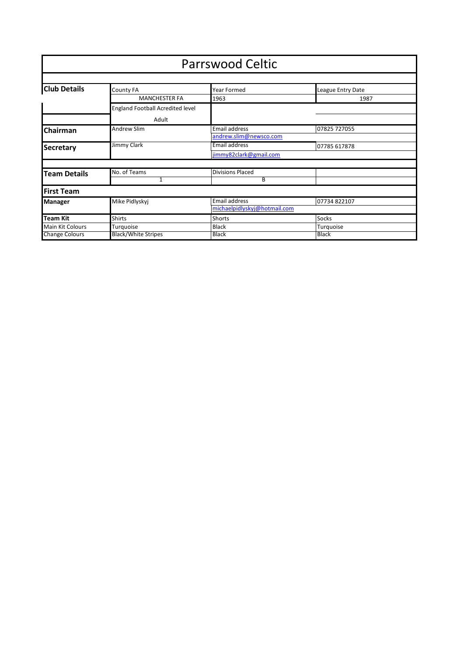|                       | <b>Parrswood Celtic</b>                 |                              |                   |  |  |
|-----------------------|-----------------------------------------|------------------------------|-------------------|--|--|
|                       |                                         |                              |                   |  |  |
| <b>Club Details</b>   | <b>County FA</b>                        | Year Formed                  | League Entry Date |  |  |
|                       | <b>MANCHESTER FA</b>                    | 1963                         | 1987              |  |  |
|                       | <b>England Football Acredited level</b> |                              |                   |  |  |
|                       | Adult                                   |                              |                   |  |  |
| <b>Chairman</b>       | <b>Andrew Slim</b>                      | <b>Email address</b>         | 07825 727055      |  |  |
|                       |                                         | andrew.slim@newsco.com       |                   |  |  |
| <b>Secretary</b>      | Jimmy Clark                             | Email address                | 07785 617878      |  |  |
|                       |                                         | jimmy82clark@gmail.com       |                   |  |  |
|                       |                                         |                              |                   |  |  |
| <b>Team Details</b>   | No. of Teams                            | <b>Divisions Placed</b>      |                   |  |  |
|                       | 1                                       | B                            |                   |  |  |
| <b>First Team</b>     |                                         |                              |                   |  |  |
| <b>Manager</b>        | Mike Pidlyskyj                          | <b>Email address</b>         | 07734 822107      |  |  |
|                       |                                         | michaelpidlyskyj@hotmail.com |                   |  |  |
| <b>Team Kit</b>       | <b>Shirts</b>                           | Shorts                       | Socks             |  |  |
| Main Kit Colours      | Turquoise                               | <b>Black</b>                 | Turquoise         |  |  |
| <b>Change Colours</b> | <b>Black/White Stripes</b>              | <b>Black</b>                 | <b>Black</b>      |  |  |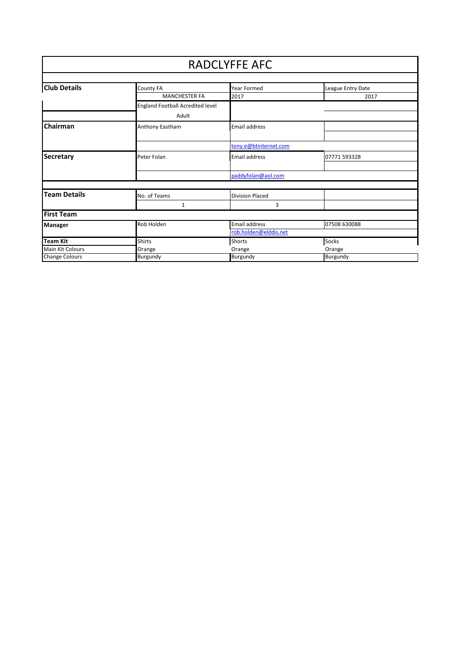|                         |                                  | <b>RADCLYFFE AFC</b>   |                   |
|-------------------------|----------------------------------|------------------------|-------------------|
| <b>Club Details</b>     | County FA                        | Year Formed            | League Entry Date |
|                         | <b>MANCHESTER FA</b>             | 2017                   | 2017              |
|                         | England Football Acredited level |                        |                   |
|                         | Adult                            |                        |                   |
| <b>Chairman</b>         | Anthony Eastham                  | <b>Email address</b>   |                   |
|                         |                                  |                        |                   |
|                         |                                  | tony.e@btinternet.com  |                   |
| <b>Secretary</b>        | Peter Folan                      | Email address          | 07771 593328      |
|                         |                                  |                        |                   |
|                         |                                  | paddyfolan@aol.com     |                   |
|                         |                                  |                        |                   |
| <b>Team Details</b>     | No. of Teams                     | <b>Division Placed</b> |                   |
|                         | 1                                | 3                      |                   |
| <b>First Team</b>       |                                  |                        |                   |
| <b>Manager</b>          | Rob Holden                       | Email address          | 07508 630088      |
|                         |                                  | rob.holden@elddis.net  |                   |
| Team Kit                | <b>Shirts</b>                    | Shorts                 | Socks             |
| <b>Main Kit Colours</b> | Orange                           | Orange                 | Orange            |
| <b>Change Colours</b>   | Burgundy                         | Burgundy               | Burgundy          |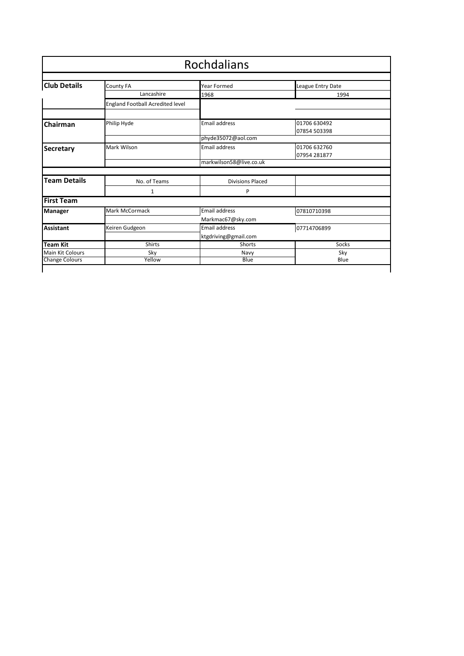| Rochdalians           |                                         |                         |                              |  |
|-----------------------|-----------------------------------------|-------------------------|------------------------------|--|
| <b>Club Details</b>   | County FA                               | Year Formed             | League Entry Date            |  |
|                       | Lancashire                              | 1968                    | 1994                         |  |
|                       | <b>England Football Acredited level</b> |                         |                              |  |
| Chairman              | Philip Hyde                             | <b>Email address</b>    | 01706 630492<br>07854 503398 |  |
|                       |                                         | phyde35072@aol.com      |                              |  |
| <b>Secretary</b>      | Mark Wilson                             | <b>Email address</b>    | 01706 632760<br>07954 281877 |  |
|                       |                                         | markwilson58@live.co.uk |                              |  |
| <b>Team Details</b>   | No. of Teams                            | <b>Divisions Placed</b> |                              |  |
|                       | 1                                       | P                       |                              |  |
| <b>First Team</b>     |                                         |                         |                              |  |
| Manager               | Mark McCormack                          | <b>Email address</b>    | 07810710398                  |  |
|                       |                                         | Markmac67@sky.com       |                              |  |
| <b>Assistant</b>      | Keiren Gudgeon                          | <b>Email address</b>    | 07714706899                  |  |
|                       |                                         | ktgdriving@gmail.com    |                              |  |
| <b>Team Kit</b>       | <b>Shirts</b>                           | Shorts                  | Socks                        |  |
| Main Kit Colours      | Sky                                     | Navy                    | Sky                          |  |
| <b>Change Colours</b> | Yellow                                  | Blue                    | Blue                         |  |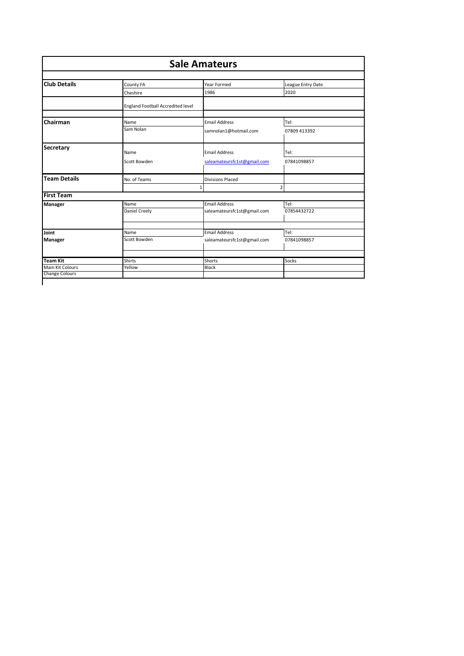| <b>Sale Amateurs</b>  |                                   |                             |                   |
|-----------------------|-----------------------------------|-----------------------------|-------------------|
|                       |                                   |                             |                   |
| <b>Club Details</b>   | County FA                         | Year Formed                 | League Entry Date |
|                       | Cheshire                          | 1986                        | 2020              |
|                       | England Football Accredited level |                             |                   |
| Chairman              | Name                              | <b>Email Address</b>        | Tel:              |
|                       | Sam Nolan                         | samnolan1@hotmail.com       | 07809 413392      |
| Secretary             | Name                              | <b>Email Address</b>        | Tel:              |
|                       | Scott Bowden                      | saleamateursfc1st@gmail.com | 07841098857       |
| <b>Team Details</b>   | No. of Teams                      | <b>Divisions Placed</b>     |                   |
|                       |                                   | 1                           | $\overline{2}$    |
| <b>First Team</b>     |                                   |                             |                   |
| Manager               | Name                              | <b>Email Address</b>        | Tel:              |
|                       | Daniel Creely                     | saleamateursfc1st@gmail.com | 07854432722       |
| Joint                 | Name                              | <b>Email Address</b>        | Tel:              |
|                       | Scott Bowden                      |                             | 07841098857       |
| <b>Manager</b>        |                                   | saleamateursfc1st@gmail.com |                   |
| <b>Team Kit</b>       | Shirts                            | Shorts                      | Socks             |
| Main Kit Colours      | Yellow                            | Black                       |                   |
| <b>Change Colours</b> |                                   |                             |                   |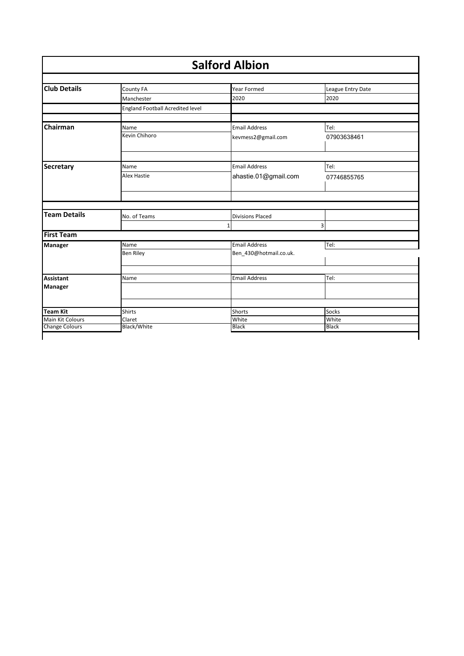| <b>Salford Albion</b> |                                  |                         |                   |  |
|-----------------------|----------------------------------|-------------------------|-------------------|--|
| <b>Club Details</b>   | County FA                        | <b>Year Formed</b>      | League Entry Date |  |
|                       | Manchester                       | 2020                    | 2020              |  |
|                       | England Football Acredited level |                         |                   |  |
| Chairman              | Name                             | <b>Email Address</b>    | Tel:              |  |
|                       | Kevin Chihoro                    | kevmess2@gmail.com      | 07903638461       |  |
|                       |                                  |                         |                   |  |
| Secretary             | Name                             | <b>Email Address</b>    | Tel:              |  |
|                       | <b>Alex Hastie</b>               | ahastie.01@gmail.com    | 07746855765       |  |
|                       |                                  |                         |                   |  |
| <b>Team Details</b>   | No. of Teams                     | <b>Divisions Placed</b> |                   |  |
| <b>First Team</b>     |                                  | 1                       | 3                 |  |
| Manager               | Name                             | <b>Email Address</b>    | Tel:              |  |
|                       | <b>Ben Riley</b>                 | Ben_430@hotmail.co.uk.  |                   |  |
|                       |                                  | <b>Email Address</b>    | Tel:              |  |
| <b>Assistant</b>      | Name                             |                         |                   |  |
| <b>Manager</b>        |                                  |                         |                   |  |
| <b>Team Kit</b>       | <b>Shirts</b>                    | Shorts                  | <b>Socks</b>      |  |
| Main Kit Colours      | Claret                           | White                   | White             |  |
| <b>Change Colours</b> | Black/White                      | <b>Black</b>            | <b>Black</b>      |  |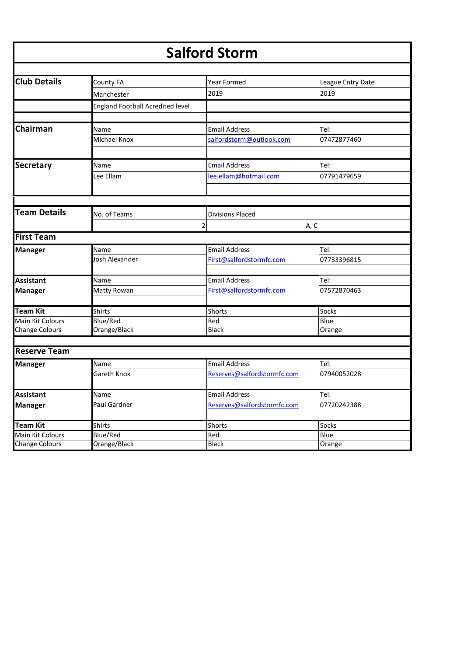| <b>Salford Storm</b>  |                                         |                             |                   |  |  |
|-----------------------|-----------------------------------------|-----------------------------|-------------------|--|--|
| <b>Club Details</b>   | County FA                               | Year Formed                 |                   |  |  |
|                       |                                         |                             | League Entry Date |  |  |
|                       | Manchester                              | 2019                        | 2019              |  |  |
|                       | <b>England Football Acredited level</b> |                             |                   |  |  |
| Chairman              | Name                                    | <b>Email Address</b>        | Tel:              |  |  |
|                       | Michael Knox                            | salfordstorm@outlook.com    | 07472877460       |  |  |
| <b>Secretary</b>      | Name                                    | <b>Email Address</b>        | Tel:              |  |  |
|                       | Lee Ellam                               | lee.ellam@hotmail.com       | 07791479659       |  |  |
|                       |                                         |                             |                   |  |  |
| <b>Team Details</b>   | No. of Teams                            | <b>Divisions Placed</b>     |                   |  |  |
|                       | 2                                       |                             | A, C              |  |  |
| <b>First Team</b>     |                                         |                             |                   |  |  |
| <b>Manager</b>        | Name                                    | <b>Email Address</b>        | Tel:              |  |  |
|                       | Josh Alexander                          | First@salfordstormfc.com    | 07733396815       |  |  |
| <b>Assistant</b>      | Name                                    | <b>Email Address</b>        | Tel:              |  |  |
| <b>Manager</b>        | Matty Rowan                             | First@salfordstormfc.com    | 07572870463       |  |  |
| <b>Team Kit</b>       | <b>Shirts</b>                           | Shorts                      | Socks             |  |  |
| Main Kit Colours      | <b>Blue/Red</b>                         | Red                         | Blue              |  |  |
| <b>Change Colours</b> | Orange/Black                            | <b>Black</b>                | Orange            |  |  |
| <b>Reserve Team</b>   |                                         |                             |                   |  |  |
| <b>Manager</b>        | Name                                    | <b>Email Address</b>        | Tel:              |  |  |
|                       | Gareth Knox                             | Reserves@salfordstormfc.com | 07940052028       |  |  |
|                       |                                         |                             |                   |  |  |
| <b>Assistant</b>      | Name                                    | <b>Email Address</b>        | Tel:              |  |  |
| <b>Manager</b>        | Paul Gardner                            | Reserves@salfordstormfc.com | 07720242388       |  |  |
| <b>Team Kit</b>       | <b>Shirts</b>                           | Shorts                      | Socks             |  |  |
| Main Kit Colours      | Blue/Red                                | Red                         | Blue              |  |  |
| <b>Change Colours</b> | Orange/Black                            | Black                       | Orange            |  |  |
|                       |                                         |                             |                   |  |  |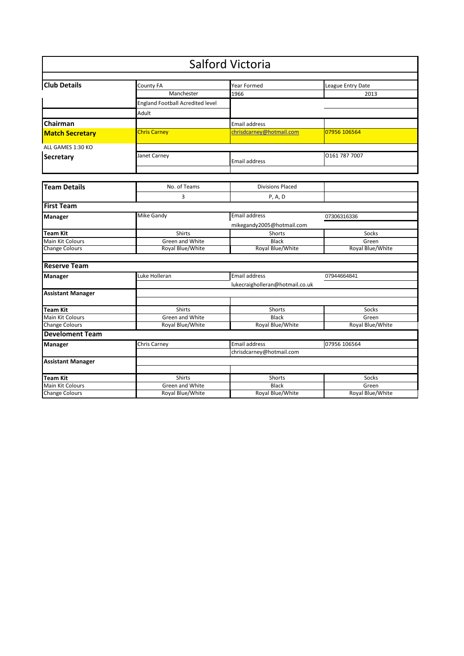|                          |                                         | <b>Salford Victoria</b>         |                   |
|--------------------------|-----------------------------------------|---------------------------------|-------------------|
|                          |                                         |                                 |                   |
| <b>Club Details</b>      | County FA                               | Year Formed                     | League Entry Date |
|                          | Manchester                              | 1966                            | 2013              |
|                          | <b>England Football Acredited level</b> |                                 |                   |
|                          | Adult                                   |                                 |                   |
| Chairman                 |                                         | <b>Email address</b>            |                   |
| <b>Match Secretary</b>   | <b>Chris Carney</b>                     | chrisdcarney@hotmail.com        | 07956 106564      |
| ALL GAMES 1:30 KO        |                                         |                                 |                   |
| Secretary                | Janet Carney                            | Email address                   | 0161 787 7007     |
|                          |                                         |                                 |                   |
| <b>Team Details</b>      | No. of Teams                            | <b>Divisions Placed</b>         |                   |
|                          | 3                                       | P, A, D                         |                   |
| <b>First Team</b>        |                                         |                                 |                   |
| <b>Manager</b>           | <b>Mike Gandy</b>                       | Email address                   | 07306316336       |
|                          |                                         | mikegandy2005@hotmail.com       |                   |
| <b>Team Kit</b>          | Shirts                                  | Shorts                          | Socks             |
| Main Kit Colours         | Green and White                         | <b>Black</b>                    | Green             |
| <b>Change Colours</b>    | Royal Blue/White                        | Royal Blue/White                | Royal Blue/White  |
| <b>Reserve Team</b>      |                                         |                                 |                   |
| Manager                  | Luke Holleran                           | <b>Email address</b>            | 07944664841       |
|                          |                                         | lukecraigholleran@hotmail.co.uk |                   |
| <b>Assistant Manager</b> |                                         |                                 |                   |
| <b>Team Kit</b>          | Shirts                                  | Shorts                          | Socks             |
| Main Kit Colours         | Green and White                         | <b>Black</b>                    | Green             |
| <b>Change Colours</b>    | Royal Blue/White                        | Royal Blue/White                | Royal Blue/White  |
| <b>Develoment Team</b>   |                                         |                                 |                   |
| Manager                  | Chris Carney                            | Email address                   | 07956 106564      |
|                          |                                         | chrisdcarney@hotmail.com        |                   |
| <b>Assistant Manager</b> |                                         |                                 |                   |
| <b>Team Kit</b>          | <b>Shirts</b>                           | Shorts                          | Socks             |
| Main Kit Colours         | Green and White                         | <b>Black</b>                    | Green             |
| <b>Change Colours</b>    | Royal Blue/White                        | Royal Blue/White                | Royal Blue/White  |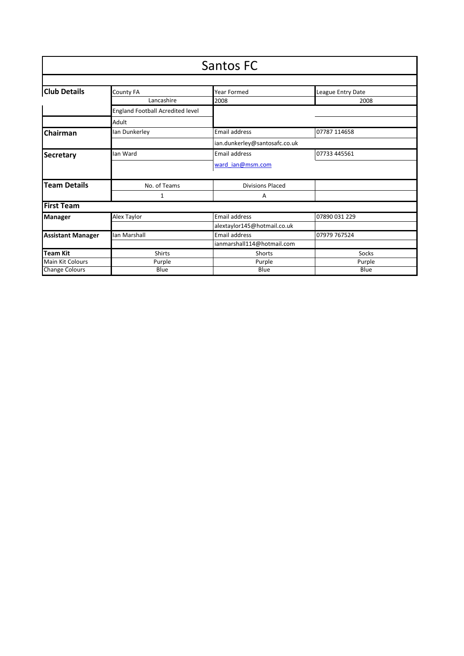| Santos FC                |                                         |                               |                   |  |
|--------------------------|-----------------------------------------|-------------------------------|-------------------|--|
|                          |                                         |                               |                   |  |
| <b>Club Details</b>      | County FA                               | Year Formed                   | League Entry Date |  |
|                          | Lancashire                              | 2008                          | 2008              |  |
|                          | <b>England Football Acredited level</b> |                               |                   |  |
|                          | Adult                                   |                               |                   |  |
| Chairman                 | lan Dunkerley                           | Email address                 | 07787 114658      |  |
|                          |                                         | ian.dunkerley@santosafc.co.uk |                   |  |
| <b>Secretary</b>         | lan Ward                                | Email address                 | 07733 445561      |  |
|                          |                                         | ward ian@msm.com              |                   |  |
| <b>Team Details</b>      | No. of Teams                            | <b>Divisions Placed</b>       |                   |  |
|                          | 1                                       | А                             |                   |  |
| <b>First Team</b>        |                                         |                               |                   |  |
| <b>Manager</b>           | Alex Taylor                             | <b>Email address</b>          | 07890 031 229     |  |
|                          |                                         | alextaylor145@hotmail.co.uk   |                   |  |
| <b>Assistant Manager</b> | lan Marshall                            | Email address                 | 07979 767524      |  |
|                          |                                         | ianmarshall114@hotmail.com    |                   |  |
| <b>Team Kit</b>          | Shirts                                  | Shorts                        | Socks             |  |
| <b>Main Kit Colours</b>  | Purple                                  | Purple                        | Purple            |  |
| <b>Change Colours</b>    | Blue                                    | Blue                          | Blue              |  |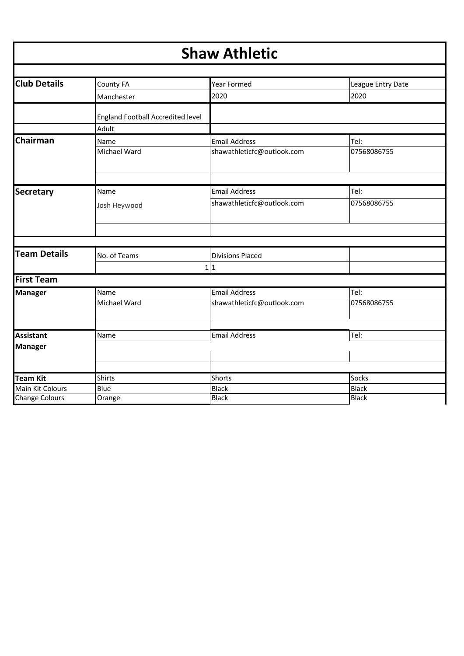| <b>Shaw Athletic</b>  |                                                   |                            |                   |  |
|-----------------------|---------------------------------------------------|----------------------------|-------------------|--|
| <b>Club Details</b>   | County FA                                         | Year Formed                | League Entry Date |  |
|                       | Manchester                                        | 2020                       | 2020              |  |
|                       | <b>England Football Accredited level</b><br>Adult |                            |                   |  |
| Chairman              | Name                                              | <b>Email Address</b>       | Tel:              |  |
|                       | Michael Ward                                      | shawathleticfc@outlook.com | 07568086755       |  |
|                       |                                                   |                            |                   |  |
| <b>Secretary</b>      | Name                                              | <b>Email Address</b>       | Tel:              |  |
|                       | Josh Heywood                                      | shawathleticfc@outlook.com | 07568086755       |  |
|                       |                                                   |                            |                   |  |
| <b>Team Details</b>   | No. of Teams                                      | <b>Divisions Placed</b>    |                   |  |
|                       |                                                   | 1 1                        |                   |  |
| <b>First Team</b>     |                                                   |                            |                   |  |
| <b>Manager</b>        | Name                                              | <b>Email Address</b>       | Tel:              |  |
|                       | Michael Ward                                      | shawathleticfc@outlook.com | 07568086755       |  |
|                       |                                                   |                            |                   |  |
| <b>Assistant</b>      | Name                                              | <b>Email Address</b>       | Tel:              |  |
| <b>Manager</b>        |                                                   |                            |                   |  |
|                       |                                                   |                            |                   |  |
| Team Kit              | <b>Shirts</b>                                     | Shorts                     | Socks             |  |
| Main Kit Colours      | Blue                                              | <b>Black</b>               | <b>Black</b>      |  |
| <b>Change Colours</b> | Orange                                            | <b>Black</b>               | <b>Black</b>      |  |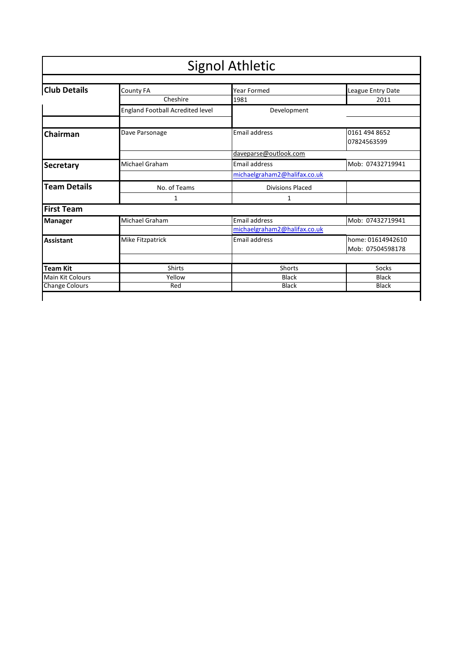| <b>Signol Athletic</b>                                                      |                                         |                              |                                       |  |  |  |
|-----------------------------------------------------------------------------|-----------------------------------------|------------------------------|---------------------------------------|--|--|--|
| <b>Club Details</b><br><b>Year Formed</b><br>County FA<br>League Entry Date |                                         |                              |                                       |  |  |  |
|                                                                             | Cheshire                                | 1981                         | 2011                                  |  |  |  |
|                                                                             | <b>England Football Acredited level</b> | Development                  |                                       |  |  |  |
| Chairman                                                                    | Dave Parsonage                          | <b>Email address</b>         | 0161 494 8652<br>07824563599          |  |  |  |
|                                                                             |                                         | daveparse@outlook.com        |                                       |  |  |  |
| <b>Secretary</b>                                                            | Michael Graham                          | <b>Email address</b>         | Mob: 07432719941                      |  |  |  |
|                                                                             |                                         | michaelgraham2@halifax.co.uk |                                       |  |  |  |
| <b>Team Details</b>                                                         | No. of Teams                            | <b>Divisions Placed</b>      |                                       |  |  |  |
|                                                                             | 1                                       | 1                            |                                       |  |  |  |
| <b>First Team</b>                                                           |                                         |                              |                                       |  |  |  |
| <b>Manager</b>                                                              | Michael Graham                          | <b>Email address</b>         | Mob: 07432719941                      |  |  |  |
|                                                                             |                                         | michaelgraham2@halifax.co.uk |                                       |  |  |  |
| <b>Assistant</b>                                                            | Mike Fitzpatrick                        | <b>Email address</b>         | home: 01614942610<br>Mob: 07504598178 |  |  |  |
| <b>Team Kit</b>                                                             | <b>Shirts</b>                           | Shorts                       | Socks                                 |  |  |  |
| <b>Main Kit Colours</b>                                                     | Yellow                                  | <b>Black</b><br><b>Black</b> |                                       |  |  |  |
| <b>Change Colours</b>                                                       | Red                                     | <b>Black</b>                 | <b>Black</b>                          |  |  |  |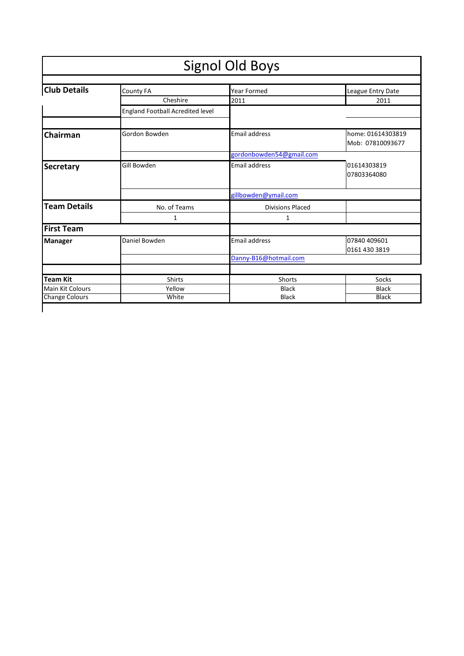|                       |                                         | <b>Signol Old Boys</b>   |                   |
|-----------------------|-----------------------------------------|--------------------------|-------------------|
|                       |                                         |                          |                   |
| <b>Club Details</b>   | <b>County FA</b>                        | <b>Year Formed</b>       | League Entry Date |
|                       | Cheshire                                | 2011                     | 2011              |
|                       | <b>England Football Acredited level</b> |                          |                   |
|                       |                                         |                          |                   |
| Chairman              | Gordon Bowden                           | <b>Email address</b>     | home: 01614303819 |
|                       |                                         |                          | Mob: 07810093677  |
|                       |                                         | gordonbowden54@gmail.com |                   |
| <b>Secretary</b>      | Gill Bowden                             | <b>Email address</b>     | 01614303819       |
|                       |                                         |                          | 07803364080       |
|                       |                                         | gillbowden@ymail.com     |                   |
| <b>Team Details</b>   | No. of Teams                            | <b>Divisions Placed</b>  |                   |
|                       | 1                                       | 1                        |                   |
| <b>First Team</b>     |                                         |                          |                   |
| <b>Manager</b>        | Daniel Bowden                           | Email address            | 07840 409601      |
|                       |                                         |                          | 0161 430 3819     |
|                       |                                         | Danny-B16@hotmail.com    |                   |
|                       |                                         |                          |                   |
| <b>Team Kit</b>       | <b>Shirts</b>                           | <b>Shorts</b>            | Socks             |
| Main Kit Colours      | Yellow                                  | <b>Black</b>             | <b>Black</b>      |
| <b>Change Colours</b> | White                                   | <b>Black</b>             | <b>Black</b>      |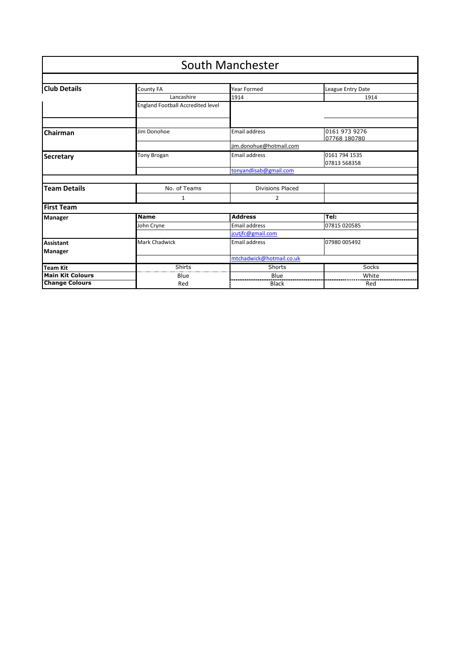|                         |                                          | <b>South Manchester</b>  |                               |
|-------------------------|------------------------------------------|--------------------------|-------------------------------|
|                         |                                          |                          |                               |
| <b>Club Details</b>     | <b>County FA</b>                         | Year Formed              | League Entry Date             |
|                         | Lancashire                               | 1914                     | 1914                          |
|                         | <b>England Football Accredited level</b> |                          |                               |
|                         |                                          |                          |                               |
| Chairman                | Jim Donohoe                              | <b>Email address</b>     | 0161 973 9276<br>07768 180780 |
|                         |                                          | jim.donohue@hotmail.com  |                               |
| Secretary               | <b>Tony Brogan</b>                       | <b>Email address</b>     | 0161 794 1535<br>07813 568358 |
|                         |                                          | tonyandlisab@gmail.com   |                               |
|                         |                                          |                          |                               |
| <b>Team Details</b>     | No. of Teams                             | <b>Divisions Placed</b>  |                               |
|                         | 1                                        | 2                        |                               |
| <b>First Team</b>       |                                          |                          |                               |
| Manager                 | <b>Name</b>                              | <b>Address</b>           | Tel:                          |
|                         | John Cryne                               | <b>Email address</b>     | 07815 020585                  |
|                         |                                          | jcutjfc@gmail.com        |                               |
| <b>Assistant</b>        | <b>Mark Chadwick</b>                     | <b>Email address</b>     | 07980 005492                  |
| Manager                 |                                          |                          |                               |
|                         |                                          | mtchadwick@hotmail.co.uk |                               |
| <b>Team Kit</b>         | Shirts                                   | Shorts                   | Socks                         |
| <b>Main Kit Colours</b> | Blue                                     | Blue                     | White                         |
| <b>Change Colours</b>   | Red                                      | <b>Black</b>             | Red                           |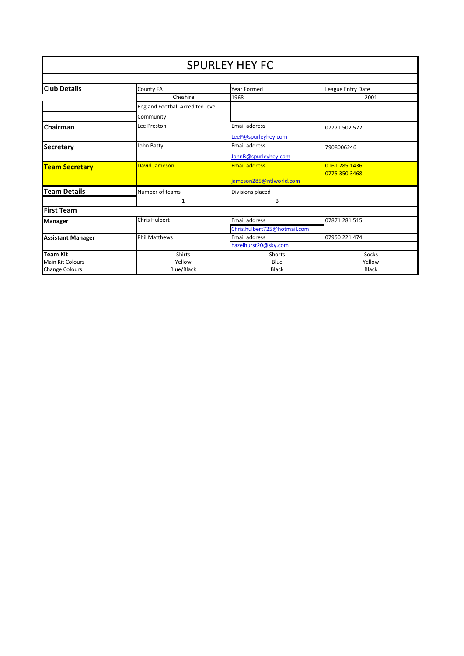|                          | <b>SPURLEY HEY FC</b>                   |                              |                   |  |
|--------------------------|-----------------------------------------|------------------------------|-------------------|--|
|                          |                                         |                              |                   |  |
| <b>Club Details</b>      | County FA                               | Year Formed                  | League Entry Date |  |
|                          | Cheshire                                | 1968                         | 2001              |  |
|                          | <b>England Football Acredited level</b> |                              |                   |  |
|                          | Community                               |                              |                   |  |
| Chairman                 | Lee Preston                             | <b>Email address</b>         | 07771 502 572     |  |
|                          |                                         | LeeP@spurleyhey.com          |                   |  |
| <b>Secretary</b>         | John Batty                              | <b>Email address</b>         | 7908006246        |  |
|                          |                                         | JohnB@spurleyhey.com         |                   |  |
| <b>Team Secretary</b>    | David Jameson                           | <b>Email address</b>         | 0161 285 1436     |  |
|                          |                                         |                              | 0775 350 3468     |  |
|                          |                                         | jameson285@ntlworld.com      |                   |  |
| <b>Team Details</b>      | Number of teams                         | Divisions placed             |                   |  |
|                          | 1                                       | В                            |                   |  |
| <b>First Team</b>        |                                         |                              |                   |  |
| Manager                  | <b>Chris Hulbert</b>                    | <b>Email address</b>         | 07871 281 515     |  |
|                          |                                         | Chris.hulbert725@hotmail.com |                   |  |
| <b>Assistant Manager</b> | <b>Phil Matthews</b>                    | Email address                | 07950 221 474     |  |
|                          |                                         | hazelhurst20@sky.com         |                   |  |
| <b>Team Kit</b>          | <b>Shirts</b>                           | <b>Shorts</b>                | Socks             |  |
| Main Kit Colours         | Yellow                                  | Blue                         | Yellow            |  |
| <b>Change Colours</b>    | Blue/Black                              | <b>Black</b>                 | <b>Black</b>      |  |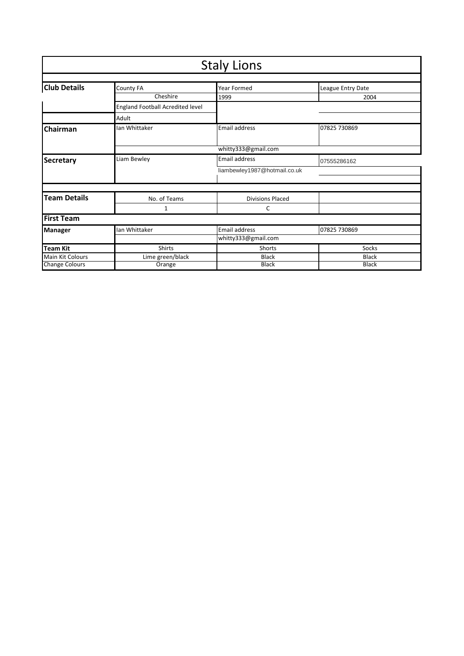|                         |                                  | <b>Staly Lions</b>           |                   |
|-------------------------|----------------------------------|------------------------------|-------------------|
|                         |                                  |                              |                   |
| <b>Club Details</b>     | County FA                        | Year Formed                  | League Entry Date |
|                         | Cheshire                         | 1999                         | 2004              |
|                         | England Football Acredited level |                              |                   |
|                         | Adult                            |                              |                   |
| Chairman                | Ian Whittaker                    | <b>Email address</b>         | 07825 730869      |
|                         |                                  |                              |                   |
|                         |                                  | whitty333@gmail.com          |                   |
| Secretary               | Liam Bewley                      | Email address                | 07555286162       |
|                         |                                  | liambewley1987@hotmail.co.uk |                   |
|                         |                                  |                              |                   |
|                         |                                  |                              |                   |
| <b>Team Details</b>     | No. of Teams                     | <b>Divisions Placed</b>      |                   |
|                         | 1                                | C                            |                   |
| <b>First Team</b>       |                                  |                              |                   |
| <b>Manager</b>          | Ian Whittaker                    | Email address                | 07825 730869      |
|                         |                                  | whitty333@gmail.com          |                   |
| <b>Team Kit</b>         | <b>Shirts</b>                    | Shorts                       | Socks             |
| <b>Main Kit Colours</b> | Lime green/black                 | <b>Black</b>                 | <b>Black</b>      |
| <b>Change Colours</b>   | Orange                           | <b>Black</b>                 | <b>Black</b>      |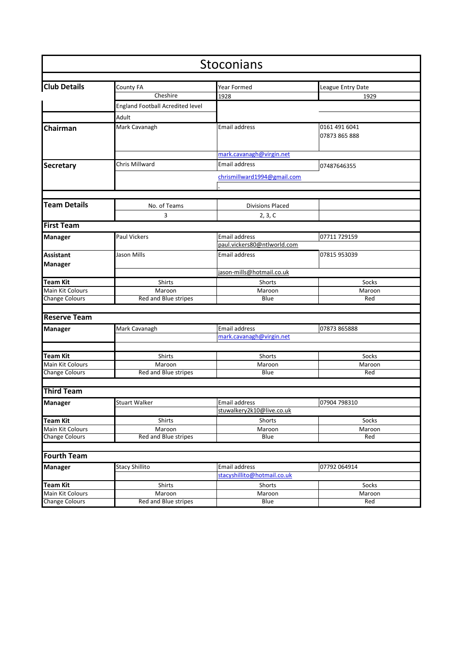|                                     |                                         | Stoconians                  |                                |
|-------------------------------------|-----------------------------------------|-----------------------------|--------------------------------|
| <b>Club Details</b>                 | County FA                               | Year Formed                 | League Entry Date              |
|                                     | Cheshire                                | 1928                        | 1929                           |
|                                     | <b>England Football Acredited level</b> |                             |                                |
|                                     |                                         |                             |                                |
|                                     | Adult                                   |                             |                                |
| Chairman                            | Mark Cavanagh                           | Email address               | 0161 491 6041<br>07873 865 888 |
|                                     |                                         | mark.cavanagh@virgin.net    |                                |
| <b>Secretary</b>                    | <b>Chris Millward</b>                   | Email address               | 07487646355                    |
|                                     |                                         | chrismillward1994@gmail.com |                                |
|                                     |                                         |                             |                                |
|                                     |                                         |                             |                                |
| <b>Team Details</b>                 | No. of Teams                            | <b>Divisions Placed</b>     |                                |
|                                     | 3                                       | 2, 3, C                     |                                |
| <b>First Team</b>                   |                                         |                             |                                |
| <b>Manager</b>                      | Paul Vickers                            | <b>Email address</b>        | 07711 729159                   |
|                                     |                                         | paul.vickers80@ntlworld.com |                                |
| <b>Assistant</b>                    | Jason Mills                             | <b>Email address</b>        | 07815 953039                   |
| <b>Manager</b>                      |                                         |                             |                                |
|                                     |                                         | jason-mills@hotmail.co.uk   |                                |
| <b>Team Kit</b>                     | Shirts                                  | Shorts                      | Socks                          |
| Main Kit Colours                    | Maroon                                  | Maroon                      | Maroon                         |
| <b>Change Colours</b>               | Red and Blue stripes                    | Blue                        | Red                            |
|                                     |                                         |                             |                                |
| <b>Reserve Team</b>                 |                                         |                             |                                |
| <b>Manager</b>                      | Mark Cavanagh                           | Email address               | 07873 865888                   |
|                                     |                                         | mark.cavanagh@virgin.net    |                                |
|                                     |                                         |                             |                                |
| Team Kit<br><b>Main Kit Colours</b> | Shirts                                  | Shorts                      | Socks                          |
| <b>Change Colours</b>               | Maroon<br>Red and Blue stripes          | Maroon<br>Blue              | Maroon<br>Red                  |
|                                     |                                         |                             |                                |
| <b>Third Team</b>                   |                                         |                             |                                |
| <b>Manager</b>                      | Stuart Walker                           | Email address               | 07904 798310                   |
|                                     |                                         | stuwalkery2k10@live.co.uk   |                                |
| <b>Team Kit</b>                     | Shirts                                  | Shorts                      | Socks                          |
| Main Kit Colours                    | Maroon                                  | Maroon                      | Maroon                         |
| <b>Change Colours</b>               | Red and Blue stripes                    | <b>Blue</b>                 | Red                            |
|                                     |                                         |                             |                                |
| <b>Fourth Team</b>                  |                                         |                             |                                |
| <b>Manager</b>                      | <b>Stacy Shillito</b>                   | Email address               | 07792 064914                   |
|                                     |                                         | stacyshillito@hotmail.co.uk |                                |
| <b>Team Kit</b>                     | Shirts                                  | Shorts                      | Socks                          |
| Main Kit Colours                    | Maroon                                  | Maroon                      | Maroon                         |
| <b>Change Colours</b>               | Red and Blue stripes                    | Blue                        | Red                            |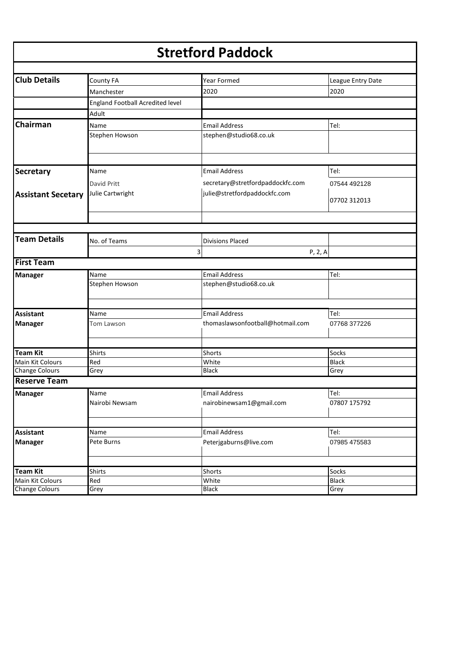### **Stretford Paddock**

| <b>Club Details</b>       | <b>County FA</b>                        | Year Formed                      | League Entry Date |
|---------------------------|-----------------------------------------|----------------------------------|-------------------|
|                           | Manchester                              | 2020                             | 2020              |
|                           | <b>England Football Acredited level</b> |                                  |                   |
|                           | Adult                                   |                                  |                   |
| Chairman                  | Name                                    | <b>Email Address</b>             | Tel:              |
|                           | Stephen Howson                          | stephen@studio68.co.uk           |                   |
|                           |                                         |                                  |                   |
|                           |                                         |                                  |                   |
| Secretary                 | Name                                    | <b>Email Address</b>             | Tel:              |
|                           | David Pritt                             | secretary@stretfordpaddockfc.com | 07544 492128      |
| <b>Assistant Secetary</b> | Julie Cartwright                        | julie@stretfordpaddockfc.com     |                   |
|                           |                                         |                                  | 07702 312013      |
|                           |                                         |                                  |                   |
|                           |                                         |                                  |                   |
| <b>Team Details</b>       | No. of Teams                            | <b>Divisions Placed</b>          |                   |
|                           |                                         | 3<br>P, 2, A                     |                   |
| <b>First Team</b>         |                                         |                                  |                   |
|                           | Name                                    | <b>Email Address</b>             | Tel:              |
| <b>Manager</b>            | Stephen Howson                          | stephen@studio68.co.uk           |                   |
|                           |                                         |                                  |                   |
|                           |                                         |                                  |                   |
| <b>Assistant</b>          | Name                                    | <b>Email Address</b>             | Tel:              |
| <b>Manager</b>            | Tom Lawson                              | thomaslawsonfootball@hotmail.com | 07768 377226      |
|                           |                                         |                                  |                   |
|                           |                                         |                                  |                   |
| <b>Team Kit</b>           | <b>Shirts</b>                           | Shorts                           | Socks             |
| Main Kit Colours          | Red                                     | White<br><b>Black</b>            | <b>Black</b>      |
| <b>Change Colours</b>     | Grey                                    |                                  | Grey              |
| <b>Reserve Team</b>       |                                         |                                  |                   |
| <b>Manager</b>            | Name                                    | <b>Email Address</b>             | Tel:              |
|                           | Nairobi Newsam                          | nairobinewsam1@gmail.com         | 07807 175792      |
|                           |                                         |                                  |                   |
| <b>Assistant</b>          | Name                                    | <b>Email Address</b>             | Tel:              |
| <b>Manager</b>            | Pete Burns                              | Peterjgaburns@live.com           | 07985 475583      |
|                           |                                         |                                  |                   |
|                           |                                         |                                  |                   |
| <b>Team Kit</b>           | <b>Shirts</b>                           | Shorts                           | Socks             |
| Main Kit Colours          | Red                                     | White                            | <b>Black</b>      |
| <b>Change Colours</b>     | Grey                                    | <b>Black</b>                     | Grey              |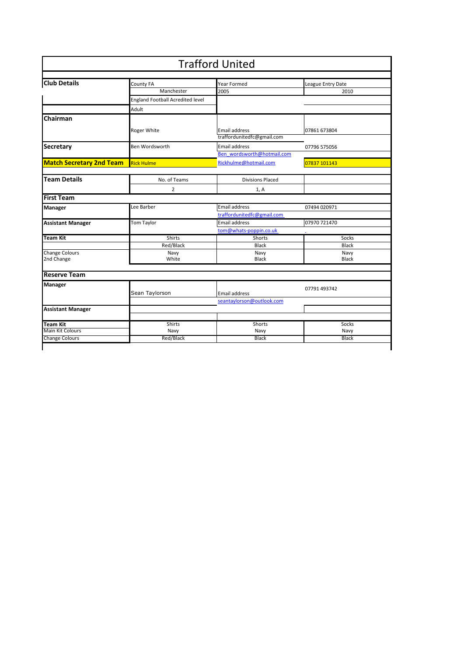|                                 |                                         | <b>Trafford United</b>                             |                   |
|---------------------------------|-----------------------------------------|----------------------------------------------------|-------------------|
|                                 |                                         |                                                    |                   |
| <b>Club Details</b>             | County FA                               | Year Formed                                        | League Entry Date |
|                                 | Manchester                              | 2005                                               | 2010              |
|                                 | <b>England Football Acredited level</b> |                                                    |                   |
|                                 | Adult                                   |                                                    |                   |
| Chairman                        |                                         |                                                    |                   |
|                                 | Roger White                             | <b>Email address</b><br>traffordunitedfc@gmail.com | 07861 673804      |
| Secretary                       | Ben Wordsworth                          | <b>Email address</b>                               | 07796 575056      |
|                                 |                                         | Ben wordsworth@hotmail.com                         |                   |
| <b>Match Secretary 2nd Team</b> | <b>Rick Hulme</b>                       | Rickhulme@hotmail.com                              | 07837 101143      |
|                                 |                                         |                                                    |                   |
| <b>Team Details</b>             | No. of Teams                            | <b>Divisions Placed</b>                            |                   |
|                                 | $\overline{2}$                          | 1, A                                               |                   |
| <b>First Team</b>               |                                         |                                                    |                   |
| Manager                         | Lee Barber                              | Email address                                      | 07494 020971      |
|                                 |                                         | traffordunitedfc@gmail.com                         |                   |
| <b>Assistant Manager</b>        | Tom Taylor                              | <b>Email address</b>                               | 07970 721470      |
|                                 |                                         | tom@whats-poppin.co.uk                             |                   |
| Team Kit                        | <b>Shirts</b>                           | Shorts                                             | Socks             |
|                                 | Red/Black                               | <b>Black</b>                                       | <b>Black</b>      |
| <b>Change Colours</b>           | Navy                                    | Navy                                               | Navy              |
| 2nd Change                      | White                                   | <b>Black</b>                                       | <b>Black</b>      |
| <b>Reserve Team</b>             |                                         |                                                    |                   |
| <b>Manager</b>                  | Sean Taylorson                          | Email address                                      | 07791 493742      |
|                                 |                                         | seantaylorson@outlook.com                          |                   |
| <b>Assistant Manager</b>        |                                         |                                                    |                   |
| Team Kit                        | <b>Shirts</b>                           | Shorts                                             | Socks             |
| <b>Main Kit Colours</b>         | Navy                                    | Navy                                               | Navy              |
| <b>Change Colours</b>           | Red/Black                               | <b>Black</b>                                       | Black             |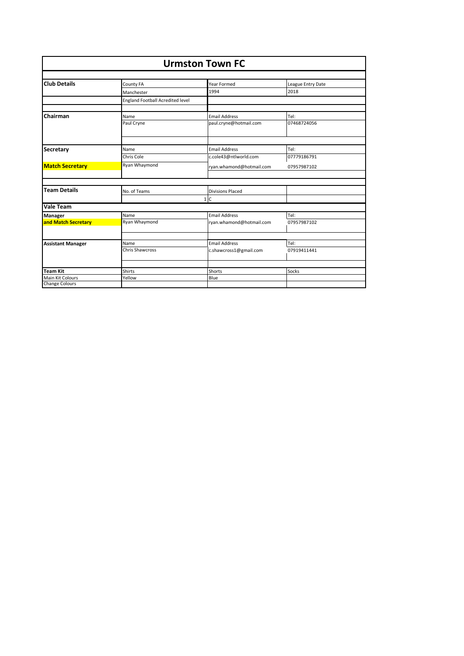| <b>Urmston Town FC</b>   |                                  |                          |                   |
|--------------------------|----------------------------------|--------------------------|-------------------|
|                          |                                  |                          |                   |
| <b>Club Details</b>      | County FA                        | Year Formed              | League Entry Date |
|                          | Manchester                       | 1994                     | 2018              |
|                          | England Football Acredited level |                          |                   |
| Chairman                 | Name                             | <b>Email Address</b>     | Tel:              |
|                          | Paul Cryne                       | paul.cryne@hotmail.com   | 07468724056       |
|                          |                                  |                          |                   |
| <b>Secretary</b>         | Name                             | <b>Email Address</b>     | Tel:              |
|                          | Chris Cole                       | c.cole43@ntlworld.com    | 07779186791       |
| <b>Match Secretary</b>   | Ryan Whaymond                    | ryan.whamond@hotmail.com | 07957987102       |
|                          |                                  |                          |                   |
| <b>Team Details</b>      | No. of Teams                     | <b>Divisions Placed</b>  |                   |
|                          |                                  | 1 C                      |                   |
| <b>Vale Team</b>         |                                  |                          |                   |
| <b>Manager</b>           | Name                             | <b>Email Address</b>     | Tel:              |
| and Match Secretary      | Ryan Whaymond                    | ryan.whamond@hotmail.com | 07957987102       |
|                          |                                  |                          |                   |
| <b>Assistant Manager</b> | Name                             | <b>Email Address</b>     | Tel:              |
|                          | <b>Chris Shawcross</b>           | c.shawcross1@gmail.com   | 07919411441       |
| <b>Team Kit</b>          | <b>Shirts</b>                    | Shorts                   | Socks             |
| <b>Main Kit Colours</b>  | Yellow                           | Blue                     |                   |
| <b>Change Colours</b>    |                                  |                          |                   |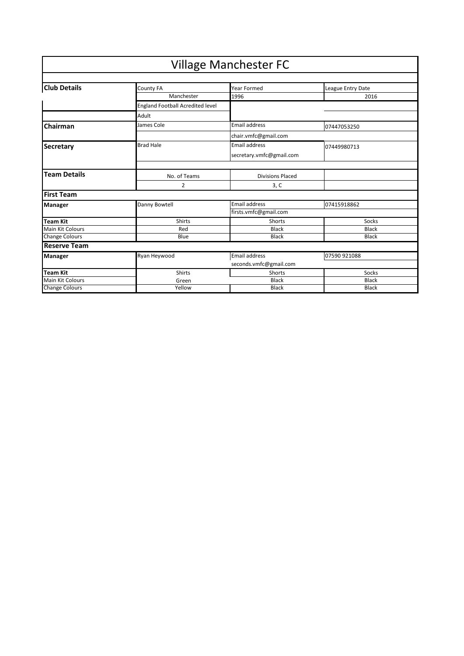|                       |                                  | <b>Village Manchester FC</b> |                   |
|-----------------------|----------------------------------|------------------------------|-------------------|
| <b>Club Details</b>   | County FA                        | Year Formed                  | League Entry Date |
|                       | Manchester                       | 1996                         | 2016              |
|                       | England Football Acredited level |                              |                   |
|                       | Adult                            |                              |                   |
| Chairman              | James Cole                       | <b>Email address</b>         | 07447053250       |
|                       |                                  | chair.vmfc@gmail.com         |                   |
| <b>Secretary</b>      | <b>Brad Hale</b>                 | <b>Email address</b>         | 07449980713       |
|                       |                                  | secretary.vmfc@gmail.com     |                   |
|                       |                                  |                              |                   |
| <b>Team Details</b>   | No. of Teams                     | <b>Divisions Placed</b>      |                   |
|                       | $\overline{2}$                   | 3, C                         |                   |
| <b>First Team</b>     |                                  |                              |                   |
| <b>Manager</b>        | Danny Bowtell                    | <b>Email address</b>         | 07415918862       |
|                       |                                  | firsts.vmfc@gmail.com        |                   |
| Team Kit              | <b>Shirts</b>                    | <b>Shorts</b>                | Socks             |
| Main Kit Colours      | Red                              | <b>Black</b>                 | <b>Black</b>      |
| <b>Change Colours</b> | Blue                             | <b>Black</b>                 | <b>Black</b>      |
| <b>Reserve Team</b>   |                                  |                              |                   |
| <b>Manager</b>        | Ryan Heywood                     | Email address                | 07590 921088      |
|                       |                                  | seconds.vmfc@gmail.com       |                   |
| Team Kit              | <b>Shirts</b>                    | <b>Shorts</b>                | Socks             |
| Main Kit Colours      | Green                            | <b>Black</b>                 | <b>Black</b>      |
| <b>Change Colours</b> | Yellow                           | <b>Black</b>                 | <b>Black</b>      |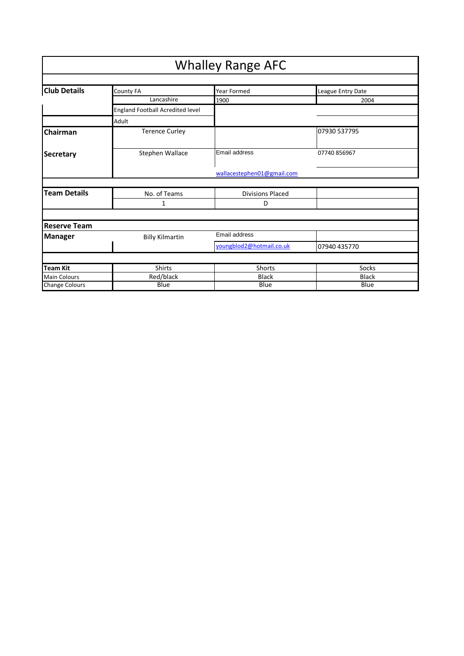|                                       |                                  | <b>Whalley Range AFC</b>   |                   |
|---------------------------------------|----------------------------------|----------------------------|-------------------|
|                                       |                                  |                            |                   |
| <b>Club Details</b>                   | County FA                        | Year Formed                | League Entry Date |
|                                       | Lancashire                       | 1900                       | 2004              |
|                                       | England Football Acredited level |                            |                   |
|                                       | Adult                            |                            |                   |
| Chairman                              | <b>Terence Curley</b>            |                            | 07930 537795      |
| <b>Secretary</b>                      | Stephen Wallace                  | Email address              | 07740 856967      |
|                                       |                                  | wallacestephen01@gmail.com |                   |
|                                       |                                  |                            |                   |
| <b>Team Details</b>                   | No. of Teams                     | <b>Divisions Placed</b>    |                   |
|                                       | $\mathbf{1}$                     | D                          |                   |
|                                       |                                  |                            |                   |
| <b>Reserve Team</b><br><b>Manager</b> | <b>Billy Kilmartin</b>           | Email address              |                   |
|                                       |                                  | youngblod2@hotmail.co.uk   | 07940 435770      |
|                                       |                                  |                            |                   |
| <b>Team Kit</b>                       | <b>Shirts</b>                    | <b>Shorts</b>              | Socks             |
| <b>Main Colours</b>                   | Red/black                        | <b>Black</b>               | <b>Black</b>      |
| <b>Change Colours</b>                 | Blue                             | Blue                       | Blue              |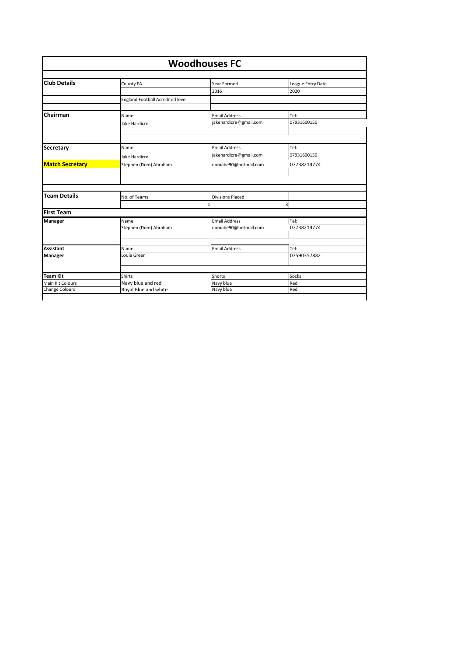| <b>Woodhouses FC</b>                |                                         |                         |                   |
|-------------------------------------|-----------------------------------------|-------------------------|-------------------|
| <b>Club Details</b>                 | County FA                               | Year Formed             | League Entry Date |
|                                     |                                         | 2016                    | 2020              |
|                                     | <b>England Football Acredited level</b> |                         |                   |
| Chairman                            | Name                                    | <b>Email Address</b>    | Tel:              |
|                                     | Jake Hardicre                           | jakehardicre@gmail.com  | 07931600150       |
|                                     |                                         |                         |                   |
| <b>Secretary</b>                    | Name                                    | <b>Email Address</b>    | Tel:              |
|                                     | Jake Hardicre                           | jakehardicre@gmail.com  | 07931600150       |
| <b>Match Secretary</b>              | Stephen (Dom) Abraham                   | domabe90@hotmail.com    | 07738214774       |
|                                     |                                         |                         |                   |
| <b>Team Details</b>                 | No. of Teams                            | <b>Divisions Placed</b> |                   |
|                                     |                                         | $\mathbf{1}$            | 3                 |
| <b>First Team</b>                   |                                         |                         |                   |
| Manager                             | Name                                    | <b>Email Address</b>    | Tel:              |
|                                     | Stephen (Dom) Abraham                   | domabe90@hotmail.com    | 07738214774       |
| <b>Assistant</b>                    | Name                                    | <b>Email Address</b>    | Tel:              |
| <b>Manager</b>                      | Louie Green                             |                         | 07590357882       |
|                                     | <b>Shirts</b>                           |                         |                   |
|                                     |                                         | Shorts                  | Socks             |
| <b>Team Kit</b><br>Main Kit Colours | Navy blue and red                       | Navy blue               | Red               |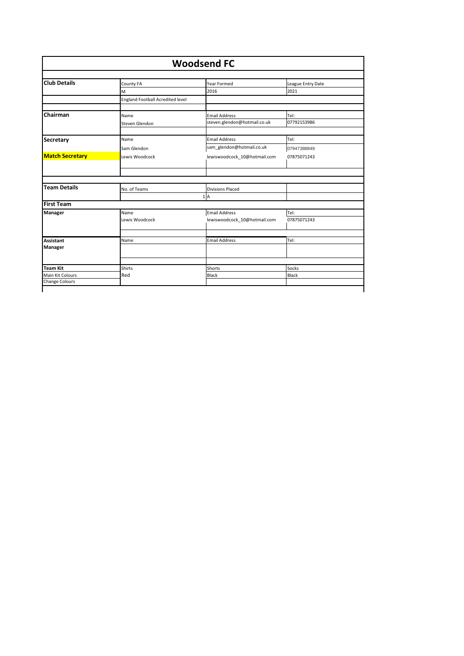| <b>Woodsend FC</b>                  |                                         |                              |                       |
|-------------------------------------|-----------------------------------------|------------------------------|-----------------------|
| <b>Club Details</b>                 | County FA                               | Year Formed                  | League Entry Date     |
|                                     | M                                       | 2016                         | 2021                  |
|                                     | <b>England Football Acredited level</b> |                              |                       |
| Chairman                            | Name                                    | <b>Email Address</b>         | Tel:                  |
|                                     | Steven Glendon                          | steven.glendon@hotmail.co.uk | 07792153986           |
| <b>Secretary</b>                    | Name                                    | <b>Email Address</b>         | Tel:                  |
|                                     | Sam Glendon                             | sam glendon@hotmail.co.uk    | 07947388849           |
| <b>Match Secretary</b>              | Lewis Woodcock                          | lewiswoodcock 10@hotmail.com | 07875071243           |
|                                     |                                         |                              |                       |
| <b>Team Details</b>                 | No. of Teams                            | <b>Divisions Placed</b>      |                       |
|                                     |                                         | 1A                           |                       |
| <b>First Team</b>                   |                                         |                              |                       |
| Manager                             | Name                                    | <b>Email Address</b>         | Tel:                  |
|                                     | Lewis Woodcock                          | lewiswoodcock 10@hotmail.com | 07875071243           |
| Assistant                           | Name                                    | <b>Email Address</b>         | Tel:                  |
| Manager                             |                                         |                              |                       |
|                                     |                                         |                              |                       |
|                                     | <b>Shirts</b>                           | Shorts                       | Socks<br><b>Black</b> |
| <b>Team Kit</b><br>Main Kit Colours | Red                                     | Black                        |                       |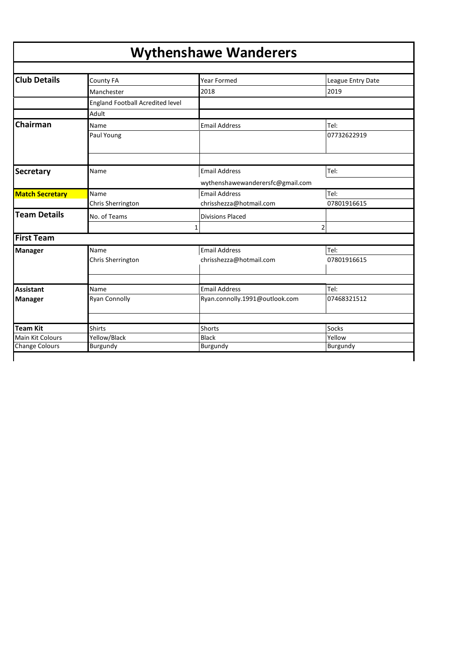## **Wythenshawe Wanderers**

| <b>Club Details</b>                 | County FA                        | <b>Year Formed</b>               | League Entry Date |
|-------------------------------------|----------------------------------|----------------------------------|-------------------|
|                                     | Manchester                       | 2018                             | 2019              |
|                                     | England Football Acredited level |                                  |                   |
|                                     | Adult                            |                                  |                   |
| Chairman                            | Name                             | <b>Email Address</b>             | Tel:              |
|                                     | Paul Young                       |                                  | 07732622919       |
|                                     |                                  |                                  |                   |
| <b>Secretary</b>                    | Name                             | <b>Email Address</b>             | Tel:              |
|                                     |                                  | wythenshawewanderersfc@gmail.com |                   |
| <b>Match Secretary</b>              | Name                             | <b>Email Address</b>             | Tel:              |
|                                     | Chris Sherrington                | chrisshezza@hotmail.com          | 07801916615       |
| <b>Team Details</b>                 | No. of Teams                     | <b>Divisions Placed</b>          |                   |
|                                     |                                  | 1                                | $\overline{2}$    |
| <b>First Team</b>                   |                                  |                                  |                   |
| <b>Manager</b>                      | Name                             | <b>Email Address</b>             | Tel:              |
|                                     | Chris Sherrington                | chrisshezza@hotmail.com          | 07801916615       |
|                                     |                                  |                                  |                   |
| <b>Assistant</b>                    | Name                             | <b>Email Address</b>             | Tel:              |
| <b>Manager</b>                      | <b>Ryan Connolly</b>             | Ryan.connolly.1991@outlook.com   | 07468321512       |
|                                     |                                  |                                  |                   |
| <b>Team Kit</b><br>Main Kit Colours | <b>Shirts</b>                    | Shorts<br><b>Black</b>           | Socks<br>Yellow   |
| <b>Change Colours</b>               | Yellow/Black<br>Burgundy         | Burgundy                         | Burgundy          |